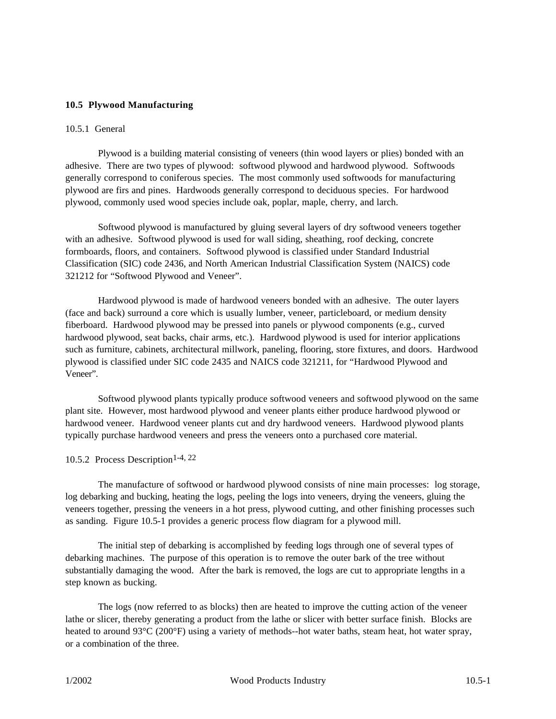### **10.5 Plywood Manufacturing**

#### 10.5.1 General

Plywood is a building material consisting of veneers (thin wood layers or plies) bonded with an adhesive. There are two types of plywood: softwood plywood and hardwood plywood. Softwoods generally correspond to coniferous species. The most commonly used softwoods for manufacturing plywood are firs and pines. Hardwoods generally correspond to deciduous species. For hardwood plywood, commonly used wood species include oak, poplar, maple, cherry, and larch.

Softwood plywood is manufactured by gluing several layers of dry softwood veneers together with an adhesive. Softwood plywood is used for wall siding, sheathing, roof decking, concrete formboards, floors, and containers. Softwood plywood is classified under Standard Industrial Classification (SIC) code 2436, and North American Industrial Classification System (NAICS) code 321212 for "Softwood Plywood and Veneer".

Hardwood plywood is made of hardwood veneers bonded with an adhesive. The outer layers (face and back) surround a core which is usually lumber, veneer, particleboard, or medium density fiberboard. Hardwood plywood may be pressed into panels or plywood components (e.g., curved hardwood plywood, seat backs, chair arms, etc.). Hardwood plywood is used for interior applications such as furniture, cabinets, architectural millwork, paneling, flooring, store fixtures, and doors. Hardwood plywood is classified under SIC code 2435 and NAICS code 321211, for "Hardwood Plywood and Veneer".

Softwood plywood plants typically produce softwood veneers and softwood plywood on the same plant site. However, most hardwood plywood and veneer plants either produce hardwood plywood or hardwood veneer. Hardwood veneer plants cut and dry hardwood veneers. Hardwood plywood plants typically purchase hardwood veneers and press the veneers onto a purchased core material.

### 10.5.2 Process Description<sup>1-4, 22</sup>

The manufacture of softwood or hardwood plywood consists of nine main processes: log storage, log debarking and bucking, heating the logs, peeling the logs into veneers, drying the veneers, gluing the veneers together, pressing the veneers in a hot press, plywood cutting, and other finishing processes such as sanding. Figure 10.5-1 provides a generic process flow diagram for a plywood mill.

The initial step of debarking is accomplished by feeding logs through one of several types of debarking machines. The purpose of this operation is to remove the outer bark of the tree without substantially damaging the wood. After the bark is removed, the logs are cut to appropriate lengths in a step known as bucking.

The logs (now referred to as blocks) then are heated to improve the cutting action of the veneer lathe or slicer, thereby generating a product from the lathe or slicer with better surface finish. Blocks are heated to around 93°C (200°F) using a variety of methods--hot water baths, steam heat, hot water spray, or a combination of the three.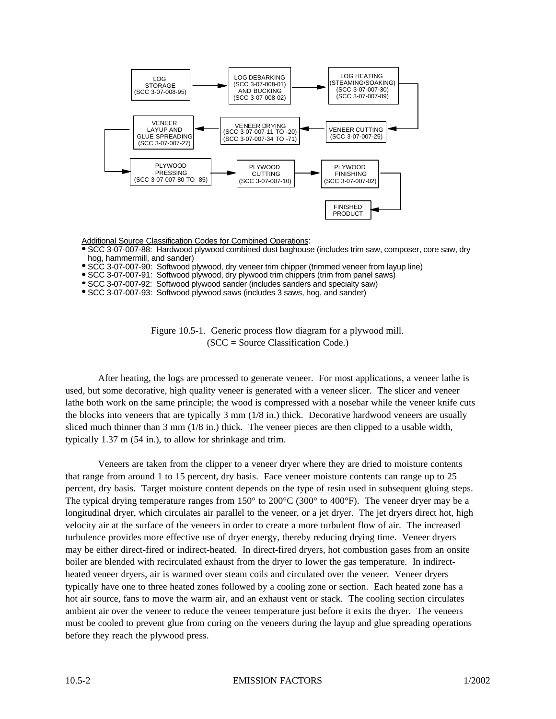

Additional Source Classification Codes for Combined Operations:

- SCC 3-07-007-88: Hardwood plywood combined dust baghouse (includes trim saw, composer, core saw, dry hog, hammermill, and sander)
- SCC 3-07-007-90: Softwood plywood, dry veneer trim chipper (trimmed veneer from layup line)
- SCC 3-07-007-91: Softwood plywood, dry plywood trim chippers (trim from panel saws)
- SCC 3-07-007-92: Softwood plywood sander (includes sanders and specialty saw)
- SCC 3-07-007-93: Softwood plywood saws (includes 3 saws, hog, and sander)

Figure 10.5-1. Generic process flow diagram for a plywood mill.  $(SCC = Source Classification Code.)$ 

After heating, the logs are processed to generate veneer. For most applications, a veneer lathe is used, but some decorative, high quality veneer is generated with a veneer slicer. The slicer and veneer lathe both work on the same principle; the wood is compressed with a nosebar while the veneer knife cuts the blocks into veneers that are typically 3 mm (1/8 in.) thick. Decorative hardwood veneers are usually sliced much thinner than 3 mm (1/8 in.) thick. The veneer pieces are then clipped to a usable width, typically 1.37 m (54 in.), to allow for shrinkage and trim.

Veneers are taken from the clipper to a veneer dryer where they are dried to moisture contents that range from around 1 to 15 percent, dry basis. Face veneer moisture contents can range up to 25 percent, dry basis. Target moisture content depends on the type of resin used in subsequent gluing steps. The typical drying temperature ranges from 150° to 200°C (300° to 400°F). The veneer dryer may be a longitudinal dryer, which circulates air parallel to the veneer, or a jet dryer. The jet dryers direct hot, high velocity air at the surface of the veneers in order to create a more turbulent flow of air. The increased turbulence provides more effective use of dryer energy, thereby reducing drying time. Veneer dryers may be either direct-fired or indirect-heated. In direct-fired dryers, hot combustion gases from an onsite boiler are blended with recirculated exhaust from the dryer to lower the gas temperature. In indirectheated veneer dryers, air is warmed over steam coils and circulated over the veneer. Veneer dryers typically have one to three heated zones followed by a cooling zone or section. Each heated zone has a hot air source, fans to move the warm air, and an exhaust vent or stack. The cooling section circulates ambient air over the veneer to reduce the veneer temperature just before it exits the dryer. The veneers must be cooled to prevent glue from curing on the veneers during the layup and glue spreading operations before they reach the plywood press.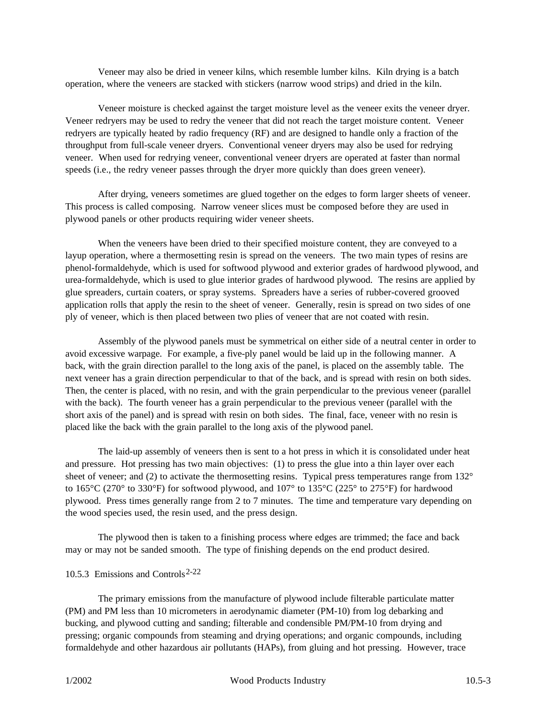Veneer may also be dried in veneer kilns, which resemble lumber kilns. Kiln drying is a batch operation, where the veneers are stacked with stickers (narrow wood strips) and dried in the kiln.

Veneer moisture is checked against the target moisture level as the veneer exits the veneer dryer. Veneer redryers may be used to redry the veneer that did not reach the target moisture content. Veneer redryers are typically heated by radio frequency (RF) and are designed to handle only a fraction of the throughput from full-scale veneer dryers. Conventional veneer dryers may also be used for redrying veneer. When used for redrying veneer, conventional veneer dryers are operated at faster than normal speeds (i.e., the redry veneer passes through the dryer more quickly than does green veneer).

After drying, veneers sometimes are glued together on the edges to form larger sheets of veneer. This process is called composing. Narrow veneer slices must be composed before they are used in plywood panels or other products requiring wider veneer sheets.

When the veneers have been dried to their specified moisture content, they are conveyed to a layup operation, where a thermosetting resin is spread on the veneers. The two main types of resins are phenol-formaldehyde, which is used for softwood plywood and exterior grades of hardwood plywood, and urea-formaldehyde, which is used to glue interior grades of hardwood plywood. The resins are applied by glue spreaders, curtain coaters, or spray systems. Spreaders have a series of rubber-covered grooved application rolls that apply the resin to the sheet of veneer. Generally, resin is spread on two sides of one ply of veneer, which is then placed between two plies of veneer that are not coated with resin.

Assembly of the plywood panels must be symmetrical on either side of a neutral center in order to avoid excessive warpage. For example, a five-ply panel would be laid up in the following manner. A back, with the grain direction parallel to the long axis of the panel, is placed on the assembly table. The next veneer has a grain direction perpendicular to that of the back, and is spread with resin on both sides. Then, the center is placed, with no resin, and with the grain perpendicular to the previous veneer (parallel with the back). The fourth veneer has a grain perpendicular to the previous veneer (parallel with the short axis of the panel) and is spread with resin on both sides. The final, face, veneer with no resin is placed like the back with the grain parallel to the long axis of the plywood panel.

The laid-up assembly of veneers then is sent to a hot press in which it is consolidated under heat and pressure. Hot pressing has two main objectives: (1) to press the glue into a thin layer over each sheet of veneer; and (2) to activate the thermosetting resins. Typical press temperatures range from  $132^{\circ}$ to 165°C (270° to 330°F) for softwood plywood, and 107° to 135°C (225° to 275°F) for hardwood plywood. Press times generally range from 2 to 7 minutes. The time and temperature vary depending on the wood species used, the resin used, and the press design.

The plywood then is taken to a finishing process where edges are trimmed; the face and back may or may not be sanded smooth. The type of finishing depends on the end product desired.

### 10.5.3 Emissions and Controls<sup>2-22</sup>

The primary emissions from the manufacture of plywood include filterable particulate matter (PM) and PM less than 10 micrometers in aerodynamic diameter (PM-10) from log debarking and bucking, and plywood cutting and sanding; filterable and condensible PM/PM-10 from drying and pressing; organic compounds from steaming and drying operations; and organic compounds, including formaldehyde and other hazardous air pollutants (HAPs), from gluing and hot pressing. However, trace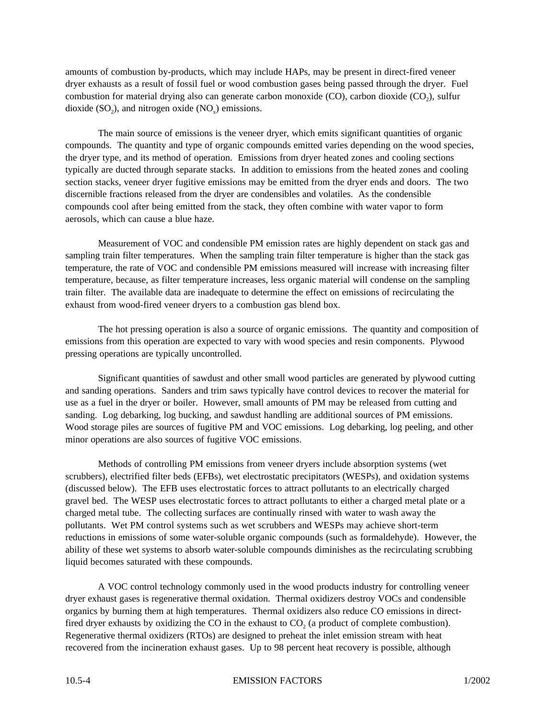amounts of combustion by-products, which may include HAPs, may be present in direct-fired veneer dryer exhausts as a result of fossil fuel or wood combustion gases being passed through the dryer. Fuel combustion for material drying also can generate carbon monoxide (CO), carbon dioxide  $(CO_2)$ , sulfur dioxide  $(SO_2)$ , and nitrogen oxide  $(NO_x)$  emissions.

The main source of emissions is the veneer dryer, which emits significant quantities of organic compounds. The quantity and type of organic compounds emitted varies depending on the wood species, the dryer type, and its method of operation. Emissions from dryer heated zones and cooling sections typically are ducted through separate stacks. In addition to emissions from the heated zones and cooling section stacks, veneer dryer fugitive emissions may be emitted from the dryer ends and doors. The two discernible fractions released from the dryer are condensibles and volatiles. As the condensible compounds cool after being emitted from the stack, they often combine with water vapor to form aerosols, which can cause a blue haze.

Measurement of VOC and condensible PM emission rates are highly dependent on stack gas and sampling train filter temperatures. When the sampling train filter temperature is higher than the stack gas temperature, the rate of VOC and condensible PM emissions measured will increase with increasing filter temperature, because, as filter temperature increases, less organic material will condense on the sampling train filter. The available data are inadequate to determine the effect on emissions of recirculating the exhaust from wood-fired veneer dryers to a combustion gas blend box.

The hot pressing operation is also a source of organic emissions. The quantity and composition of emissions from this operation are expected to vary with wood species and resin components. Plywood pressing operations are typically uncontrolled.

Significant quantities of sawdust and other small wood particles are generated by plywood cutting and sanding operations. Sanders and trim saws typically have control devices to recover the material for use as a fuel in the dryer or boiler. However, small amounts of PM may be released from cutting and sanding. Log debarking, log bucking, and sawdust handling are additional sources of PM emissions. Wood storage piles are sources of fugitive PM and VOC emissions. Log debarking, log peeling, and other minor operations are also sources of fugitive VOC emissions.

Methods of controlling PM emissions from veneer dryers include absorption systems (wet scrubbers), electrified filter beds (EFBs), wet electrostatic precipitators (WESPs), and oxidation systems (discussed below). The EFB uses electrostatic forces to attract pollutants to an electrically charged gravel bed. The WESP uses electrostatic forces to attract pollutants to either a charged metal plate or a charged metal tube. The collecting surfaces are continually rinsed with water to wash away the pollutants. Wet PM control systems such as wet scrubbers and WESPs may achieve short-term reductions in emissions of some water-soluble organic compounds (such as formaldehyde). However, the ability of these wet systems to absorb water-soluble compounds diminishes as the recirculating scrubbing liquid becomes saturated with these compounds.

A VOC control technology commonly used in the wood products industry for controlling veneer dryer exhaust gases is regenerative thermal oxidation. Thermal oxidizers destroy VOCs and condensible organics by burning them at high temperatures. Thermal oxidizers also reduce CO emissions in directfired dryer exhausts by oxidizing the CO in the exhaust to  $CO<sub>2</sub>$  (a product of complete combustion). Regenerative thermal oxidizers (RTOs) are designed to preheat the inlet emission stream with heat recovered from the incineration exhaust gases. Up to 98 percent heat recovery is possible, although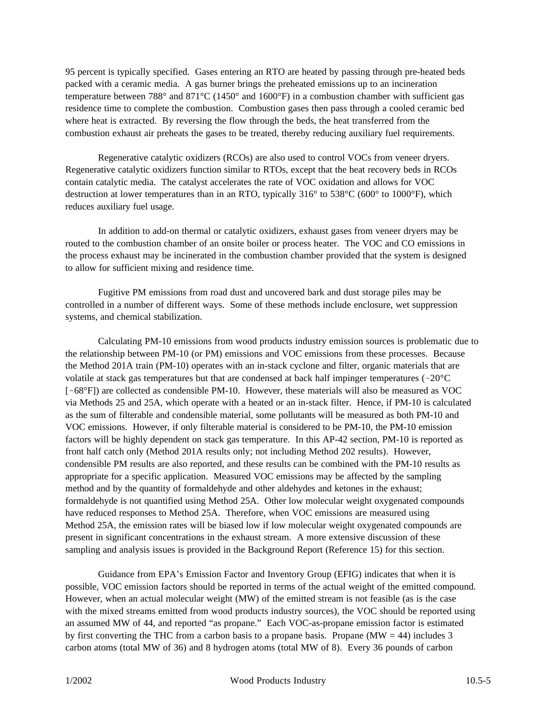95 percent is typically specified. Gases entering an RTO are heated by passing through pre-heated beds packed with a ceramic media. A gas burner brings the preheated emissions up to an incineration temperature between 788° and 871°C (1450° and 1600°F) in a combustion chamber with sufficient gas residence time to complete the combustion. Combustion gases then pass through a cooled ceramic bed where heat is extracted. By reversing the flow through the beds, the heat transferred from the combustion exhaust air preheats the gases to be treated, thereby reducing auxiliary fuel requirements.

Regenerative catalytic oxidizers (RCOs) are also used to control VOCs from veneer dryers. Regenerative catalytic oxidizers function similar to RTOs, except that the heat recovery beds in RCOs contain catalytic media. The catalyst accelerates the rate of VOC oxidation and allows for VOC destruction at lower temperatures than in an RTO, typically 316° to 538°C (600° to 1000°F), which reduces auxiliary fuel usage.

In addition to add-on thermal or catalytic oxidizers, exhaust gases from veneer dryers may be routed to the combustion chamber of an onsite boiler or process heater. The VOC and CO emissions in the process exhaust may be incinerated in the combustion chamber provided that the system is designed to allow for sufficient mixing and residence time.

Fugitive PM emissions from road dust and uncovered bark and dust storage piles may be controlled in a number of different ways. Some of these methods include enclosure, wet suppression systems, and chemical stabilization.

Calculating PM-10 emissions from wood products industry emission sources is problematic due to the relationship between PM-10 (or PM) emissions and VOC emissions from these processes. Because the Method 201A train (PM-10) operates with an in-stack cyclone and filter, organic materials that are volatile at stack gas temperatures but that are condensed at back half impinger temperatures ( $\sim$ 20 $\degree$ C [-68°F]) are collected as condensible PM-10. However, these materials will also be measured as VOC via Methods 25 and 25A, which operate with a heated or an in-stack filter. Hence, if PM-10 is calculated as the sum of filterable and condensible material, some pollutants will be measured as both PM-10 and VOC emissions. However, if only filterable material is considered to be PM-10, the PM-10 emission factors will be highly dependent on stack gas temperature. In this AP-42 section, PM-10 is reported as front half catch only (Method 201A results only; not including Method 202 results). However, condensible PM results are also reported, and these results can be combined with the PM-10 results as appropriate for a specific application. Measured VOC emissions may be affected by the sampling method and by the quantity of formaldehyde and other aldehydes and ketones in the exhaust; formaldehyde is not quantified using Method 25A. Other low molecular weight oxygenated compounds have reduced responses to Method 25A. Therefore, when VOC emissions are measured using Method 25A, the emission rates will be biased low if low molecular weight oxygenated compounds are present in significant concentrations in the exhaust stream. A more extensive discussion of these sampling and analysis issues is provided in the Background Report (Reference 15) for this section.

Guidance from EPA's Emission Factor and Inventory Group (EFIG) indicates that when it is possible, VOC emission factors should be reported in terms of the actual weight of the emitted compound. However, when an actual molecular weight (MW) of the emitted stream is not feasible (as is the case with the mixed streams emitted from wood products industry sources), the VOC should be reported using an assumed MW of 44, and reported "as propane." Each VOC-as-propane emission factor is estimated by first converting the THC from a carbon basis to a propane basis. Propane ( $\text{MW} = 44$ ) includes 3 carbon atoms (total MW of 36) and 8 hydrogen atoms (total MW of 8). Every 36 pounds of carbon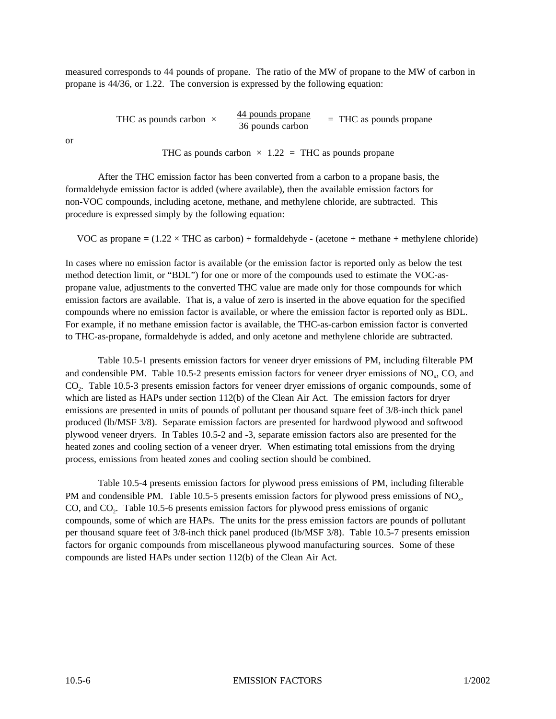measured corresponds to 44 pounds of propane. The ratio of the MW of propane to the MW of carbon in propane is 44/36, or 1.22. The conversion is expressed by the following equation:

> THC as pounds carbon  $\times$  44 pounds propane 36 pounds carbon = THC as pounds propane

or

THC as pounds carbon  $\times$  1.22 = THC as pounds propane

After the THC emission factor has been converted from a carbon to a propane basis, the formaldehyde emission factor is added (where available), then the available emission factors for non-VOC compounds, including acetone, methane, and methylene chloride, are subtracted. This procedure is expressed simply by the following equation:

VOC as propane  $= (1.22 \times THC$  as carbon) + formaldehyde - (acetone + methane + methylene chloride)

In cases where no emission factor is available (or the emission factor is reported only as below the test method detection limit, or "BDL") for one or more of the compounds used to estimate the VOC-aspropane value, adjustments to the converted THC value are made only for those compounds for which emission factors are available. That is, a value of zero is inserted in the above equation for the specified compounds where no emission factor is available, or where the emission factor is reported only as BDL. For example, if no methane emission factor is available, the THC-as-carbon emission factor is converted to THC-as-propane, formaldehyde is added, and only acetone and methylene chloride are subtracted.

Table 10.5-1 presents emission factors for veneer dryer emissions of PM, including filterable PM and condensible PM. Table 10.5-2 presents emission factors for veneer dryer emissions of  $NO<sub>x</sub>$ , CO, and CO<sub>2</sub>. Table 10.5-3 presents emission factors for veneer dryer emissions of organic compounds, some of which are listed as HAPs under section 112(b) of the Clean Air Act. The emission factors for dryer emissions are presented in units of pounds of pollutant per thousand square feet of 3/8-inch thick panel produced (lb/MSF 3/8). Separate emission factors are presented for hardwood plywood and softwood plywood veneer dryers. In Tables 10.5-2 and -3, separate emission factors also are presented for the heated zones and cooling section of a veneer dryer. When estimating total emissions from the drying process, emissions from heated zones and cooling section should be combined.

Table 10.5-4 presents emission factors for plywood press emissions of PM, including filterable PM and condensible PM. Table 10.5-5 presents emission factors for plywood press emissions of  $NO<sub>x</sub>$ , CO, and CO<sub>2</sub>. Table 10.5-6 presents emission factors for plywood press emissions of organic compounds, some of which are HAPs. The units for the press emission factors are pounds of pollutant per thousand square feet of 3/8-inch thick panel produced (lb/MSF 3/8). Table 10.5-7 presents emission factors for organic compounds from miscellaneous plywood manufacturing sources. Some of these compounds are listed HAPs under section 112(b) of the Clean Air Act.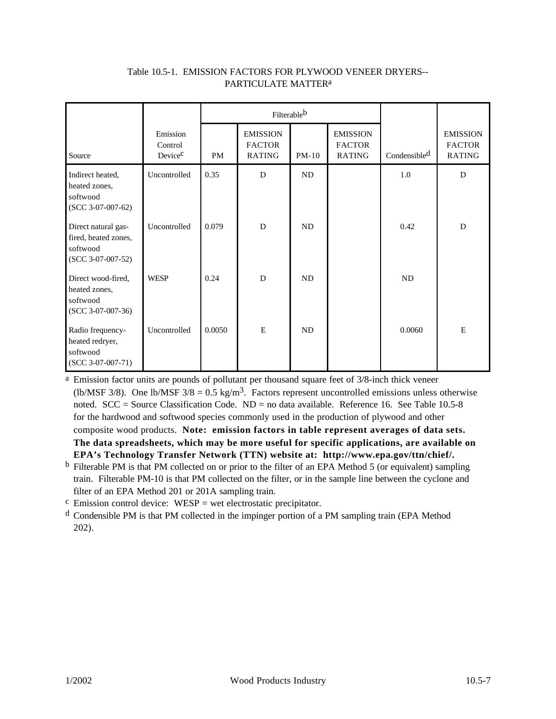|                                                                                |                                            |           | Filterable <sup>b</sup>                           |           |                                                   |                          |                                                   |
|--------------------------------------------------------------------------------|--------------------------------------------|-----------|---------------------------------------------------|-----------|---------------------------------------------------|--------------------------|---------------------------------------------------|
| Source                                                                         | Emission<br>Control<br>Device <sup>C</sup> | <b>PM</b> | <b>EMISSION</b><br><b>FACTOR</b><br><b>RATING</b> | $PM-10$   | <b>EMISSION</b><br><b>FACTOR</b><br><b>RATING</b> | Condensible <sup>d</sup> | <b>EMISSION</b><br><b>FACTOR</b><br><b>RATING</b> |
| Indirect heated,<br>heated zones,<br>softwood<br>$(SCC 3-07-007-62)$           | Uncontrolled                               | 0.35      | D                                                 | ND        |                                                   | 1.0                      | D                                                 |
| Direct natural gas-<br>fired, heated zones,<br>softwood<br>$(SCC 3-07-007-52)$ | Uncontrolled                               | 0.079     | D                                                 | <b>ND</b> |                                                   | 0.42                     | D                                                 |
| Direct wood-fired,<br>heated zones,<br>softwood<br>$(SCC 3-07-007-36)$         | <b>WESP</b>                                | 0.24      | D                                                 | ND        |                                                   | <b>ND</b>                |                                                   |
| Radio frequency-<br>heated redryer,<br>softwood<br>$(SCC 3-07-007-71)$         | Uncontrolled                               | 0.0050    | E                                                 | ND        |                                                   | 0.0060                   | E                                                 |

### Table 10.5-1. EMISSION FACTORS FOR PLYWOOD VENEER DRYERS-- PARTICULATE MATTERa

a Emission factor units are pounds of pollutant per thousand square feet of 3/8-inch thick veneer (lb/MSF 3/8). One lb/MSF  $3/8 = 0.5 \text{ kg/m}^3$ . Factors represent uncontrolled emissions unless otherwise noted. SCC = Source Classification Code. ND = no data available. Reference 16. See Table 10.5-8 for the hardwood and softwood species commonly used in the production of plywood and other composite wood products. **Note: emission factors in table represent averages of data sets. The data spreadsheets, which may be more useful for specific applications, are available on EPA's Technology Transfer Network (TTN) website at: http://www.epa.gov/ttn/chief/.**

b Filterable PM is that PM collected on or prior to the filter of an EPA Method 5 (or equivalent) sampling train. Filterable PM-10 is that PM collected on the filter, or in the sample line between the cyclone and filter of an EPA Method 201 or 201A sampling train.

 $\text{c}$  Emission control device: WESP = wet electrostatic precipitator.

d Condensible PM is that PM collected in the impinger portion of a PM sampling train (EPA Method 202).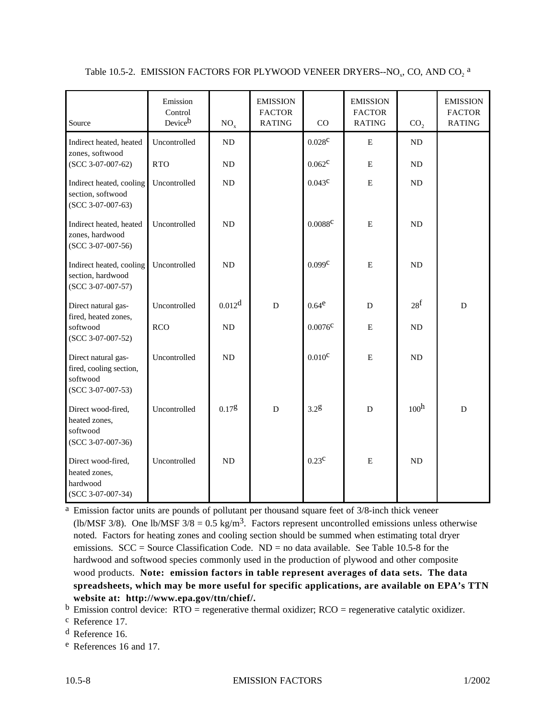| Source                                                                            | Emission<br>Control<br>Deviceb | NO <sub>x</sub>    | <b>EMISSION</b><br><b>FACTOR</b><br><b>RATING</b> | CO                  | <b>EMISSION</b><br><b>FACTOR</b><br><b>RATING</b> | CO <sub>2</sub>  | <b>EMISSION</b><br><b>FACTOR</b><br><b>RATING</b> |
|-----------------------------------------------------------------------------------|--------------------------------|--------------------|---------------------------------------------------|---------------------|---------------------------------------------------|------------------|---------------------------------------------------|
| Indirect heated, heated<br>zones, softwood                                        | Uncontrolled                   | <b>ND</b>          |                                                   | 0.028 <sup>c</sup>  | $\mathbf E$                                       | ND               |                                                   |
| $(SCC 3-07-007-62)$                                                               | <b>RTO</b>                     | <b>ND</b>          |                                                   | $0.062^{\circ}$     | $\mathbf E$                                       | ND               |                                                   |
| Indirect heated, cooling<br>section, softwood<br>$(SCC 3-07-007-63)$              | Uncontrolled                   | ND                 |                                                   | $0.043^{\circ}$     | ${\bf E}$                                         | $\rm ND$         |                                                   |
| Indirect heated, heated<br>zones, hardwood<br>$(SCC 3-07-007-56)$                 | Uncontrolled                   | ND                 |                                                   | $0.0088^{\text{c}}$ | ${\bf E}$                                         | ND               |                                                   |
| Indirect heated, cooling<br>section, hardwood<br>$(SCC 3-07-007-57)$              | Uncontrolled                   | <b>ND</b>          |                                                   | 0.099c              | $\mathbf E$                                       | ND               |                                                   |
| Direct natural gas-                                                               | Uncontrolled                   | 0.012 <sup>d</sup> | D                                                 | $0.64^e$            | D                                                 | 28 <sup>f</sup>  | D                                                 |
| fired, heated zones,<br>softwood<br>$(SCC 3-07-007-52)$                           | <b>RCO</b>                     | <b>ND</b>          |                                                   | $0.0076^{\circ}$    | ${\bf E}$                                         | ND               |                                                   |
| Direct natural gas-<br>fired, cooling section,<br>softwood<br>$(SCC 3-07-007-53)$ | Uncontrolled                   | <b>ND</b>          |                                                   | $0.010^{\circ}$     | ${\bf E}$                                         | ND               |                                                   |
| Direct wood-fired,<br>heated zones,<br>softwood<br>$(SCC 3-07-007-36)$            | Uncontrolled                   | 0.17g              | $\mathbf D$                                       | 3.28                | $\overline{D}$                                    | 100 <sup>h</sup> | $\mathbf D$                                       |
| Direct wood-fired,<br>heated zones,<br>hardwood<br>$(SCC 3-07-007-34)$            | Uncontrolled                   | <b>ND</b>          |                                                   | $0.23^{\text{c}}$   | E                                                 | <b>ND</b>        |                                                   |

Table 10.5-2. EMISSION FACTORS FOR PLYWOOD VENEER DRYERS--NO<sub>x</sub>, CO, AND CO<sub>2</sub><sup>a</sup>

a Emission factor units are pounds of pollutant per thousand square feet of 3/8-inch thick veneer (lb/MSF 3/8). One lb/MSF  $3/8 = 0.5 \text{ kg/m}^3$ . Factors represent uncontrolled emissions unless otherwise noted. Factors for heating zones and cooling section should be summed when estimating total dryer emissions.  $SCC = Source Classification Code$ .  $ND = no data available$ . See Table 10.5-8 for the hardwood and softwood species commonly used in the production of plywood and other composite wood products. **Note: emission factors in table represent averages of data sets. The data spreadsheets, which may be more useful for specific applications, are available on EPA's TTN website at: http://www.epa.gov/ttn/chief/.**

 $<sup>b</sup>$  Emission control device: RTO = regenerative thermal oxidizer; RCO = regenerative catalytic oxidizer.</sup>

c Reference 17.

d Reference 16.

e References 16 and 17.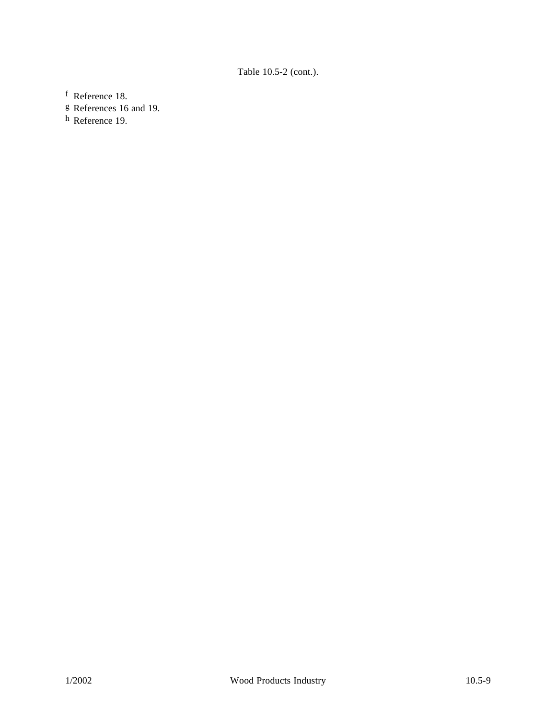# Table 10.5-2 (cont.).

f Reference 18.

g References 16 and 19.

h Reference 19.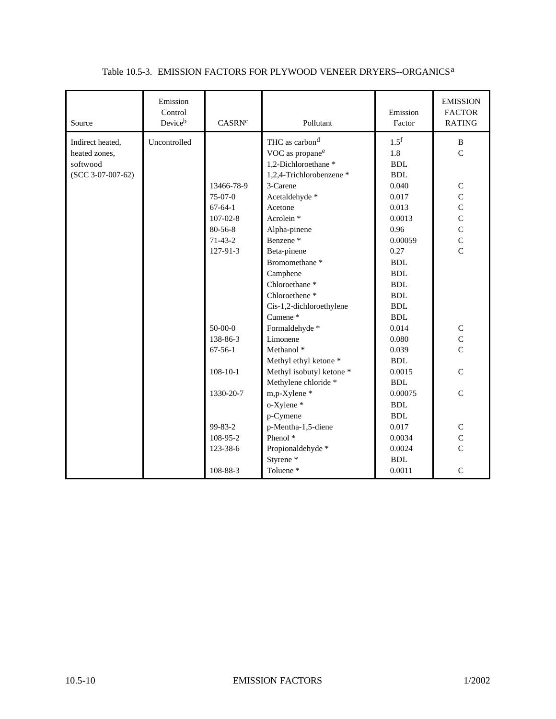| Source              | Emission<br>Control<br>Deviceb | CASRN <sup>c</sup> | Pollutant                   | Emission<br>Factor | <b>EMISSION</b><br><b>FACTOR</b><br><b>RATING</b> |
|---------------------|--------------------------------|--------------------|-----------------------------|--------------------|---------------------------------------------------|
| Indirect heated,    | Uncontrolled                   |                    | THC as carbon <sup>d</sup>  | 1.5 <sup>f</sup>   | $\, {\bf B}$                                      |
| heated zones,       |                                |                    | VOC as propane <sup>e</sup> | 1.8                | $\overline{C}$                                    |
| softwood            |                                |                    | 1,2-Dichloroethane*         | <b>BDL</b>         |                                                   |
| $(SCC 3-07-007-62)$ |                                |                    | 1,2,4-Trichlorobenzene *    | <b>BDL</b>         |                                                   |
|                     |                                | 13466-78-9         | 3-Carene                    | 0.040              | $\mathsf C$                                       |
|                     |                                | $75-07-0$          | Acetaldehyde *              | 0.017              | $\mathbf C$                                       |
|                     |                                | $67 - 64 - 1$      | Acetone                     | 0.013              | $\overline{C}$                                    |
|                     |                                | $107 - 02 - 8$     | Acrolein <sup>*</sup>       | 0.0013             | $\mathbf C$                                       |
|                     |                                | 80-56-8            | Alpha-pinene                | 0.96               | $\overline{C}$                                    |
|                     |                                | $71-43-2$          | Benzene <sup>*</sup>        | 0.00059            | $\mathbf C$                                       |
|                     |                                | 127-91-3           | Beta-pinene                 | 0.27               | $\overline{C}$                                    |
|                     |                                |                    | Bromomethane <sup>*</sup>   | <b>BDL</b>         |                                                   |
|                     |                                |                    | Camphene                    | <b>BDL</b>         |                                                   |
|                     |                                |                    | Chloroethane <sup>*</sup>   | <b>BDL</b>         |                                                   |
|                     |                                |                    | Chloroethene <sup>*</sup>   | <b>BDL</b>         |                                                   |
|                     |                                |                    | Cis-1,2-dichloroethylene    | <b>BDL</b>         |                                                   |
|                     |                                |                    | Cumene*                     | <b>BDL</b>         |                                                   |
|                     |                                | $50-00-0$          | Formaldehyde *              | 0.014              | $\mathsf C$                                       |
|                     |                                | 138-86-3           | Limonene                    | 0.080              | $\overline{C}$                                    |
|                     |                                | $67-56-1$          | Methanol <sup>*</sup>       | 0.039              | $\overline{C}$                                    |
|                     |                                |                    | Methyl ethyl ketone *       | <b>BDL</b>         |                                                   |
|                     |                                | $108 - 10 - 1$     | Methyl isobutyl ketone *    | 0.0015             | $\mathsf{C}$                                      |
|                     |                                |                    | Methylene chloride *        | <b>BDL</b>         |                                                   |
|                     |                                | 1330-20-7          | m,p-Xylene*                 | 0.00075            | $\mathbf C$                                       |
|                     |                                |                    | o-Xylene*                   | <b>BDL</b>         |                                                   |
|                     |                                |                    | p-Cymene                    | <b>BDL</b>         |                                                   |
|                     |                                | $99 - 83 - 2$      | p-Mentha-1,5-diene          | 0.017              | $\mathsf C$                                       |
|                     |                                | 108-95-2           | Phenol <sup>*</sup>         | 0.0034             | $\mathbf C$                                       |
|                     |                                | 123-38-6           | Propionaldehyde *           | 0.0024             | $\overline{C}$                                    |
|                     |                                |                    | Styrene <sup>*</sup>        | <b>BDL</b>         |                                                   |
|                     |                                | 108-88-3           | Toluene*                    | 0.0011             | $\mathsf{C}$                                      |

### Table 10.5-3. EMISSION FACTORS FOR PLYWOOD VENEER DRYERS--ORGANICSa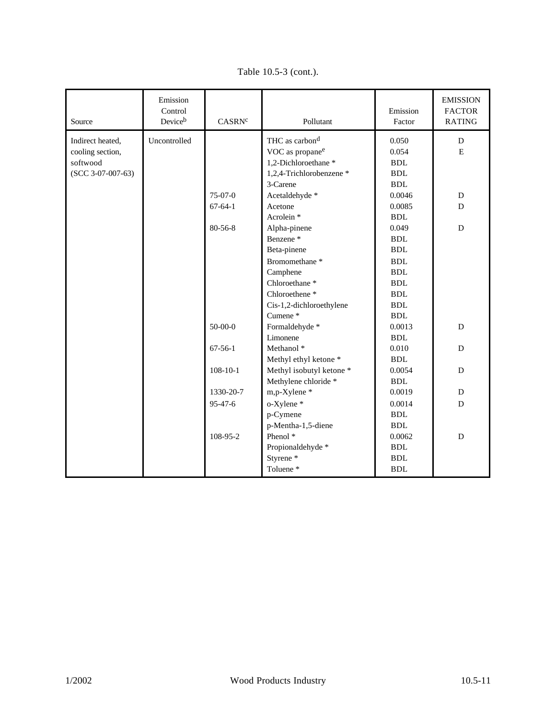| Source              | Emission<br>Control<br>Deviceb | CASRN <sup>c</sup> | Pollutant                   | Emission<br>Factor | <b>EMISSION</b><br><b>FACTOR</b><br><b>RATING</b> |
|---------------------|--------------------------------|--------------------|-----------------------------|--------------------|---------------------------------------------------|
| Indirect heated,    | Uncontrolled                   |                    | THC as carbon <sup>d</sup>  | 0.050              | D                                                 |
| cooling section,    |                                |                    | VOC as propane <sup>e</sup> | 0.054              | E                                                 |
| softwood            |                                |                    | 1,2-Dichloroethane *        | <b>BDL</b>         |                                                   |
| $(SCC 3-07-007-63)$ |                                |                    | 1,2,4-Trichlorobenzene *    | <b>BDL</b>         |                                                   |
|                     |                                |                    | 3-Carene                    | <b>BDL</b>         |                                                   |
|                     |                                | $75-07-0$          | Acetaldehyde *              | 0.0046             | D                                                 |
|                     |                                | $67-64-1$          | Acetone                     | 0.0085             | D                                                 |
|                     |                                |                    | Acrolein <sup>*</sup>       | <b>BDL</b>         |                                                   |
|                     |                                | $80 - 56 - 8$      | Alpha-pinene                | 0.049              | D                                                 |
|                     |                                |                    | Benzene <sup>*</sup>        | <b>BDL</b>         |                                                   |
|                     |                                |                    | Beta-pinene                 | ${\bf BDL}$        |                                                   |
|                     |                                |                    | Bromomethane <sup>*</sup>   | <b>BDL</b>         |                                                   |
|                     |                                |                    | Camphene                    | ${\bf BDL}$        |                                                   |
|                     |                                |                    | Chloroethane <sup>*</sup>   | <b>BDL</b>         |                                                   |
|                     |                                |                    | Chloroethene <sup>*</sup>   | <b>BDL</b>         |                                                   |
|                     |                                |                    | Cis-1,2-dichloroethylene    | <b>BDL</b>         |                                                   |
|                     |                                |                    | Cumene*                     | <b>BDL</b>         |                                                   |
|                     |                                | $50 - 00 - 0$      | Formaldehyde *              | 0.0013             | $\mathbf D$                                       |
|                     |                                |                    | Limonene                    | <b>BDL</b>         |                                                   |
|                     |                                | $67 - 56 - 1$      | Methanol <sup>*</sup>       | 0.010              | $\mathbf D$                                       |
|                     |                                |                    | Methyl ethyl ketone *       | ${\bf BDL}$        |                                                   |
|                     |                                | $108 - 10 - 1$     | Methyl isobutyl ketone *    | 0.0054             | D                                                 |
|                     |                                |                    | Methylene chloride *        | <b>BDL</b>         |                                                   |
|                     |                                | 1330-20-7          | m,p-Xylene*                 | 0.0019             | D                                                 |
|                     |                                | 95-47-6            | o-Xylene*                   | 0.0014             | D                                                 |
|                     |                                |                    | p-Cymene                    | <b>BDL</b>         |                                                   |
|                     |                                |                    | p-Mentha-1,5-diene          | <b>BDL</b>         |                                                   |
|                     |                                | 108-95-2           | Phenol <sup>*</sup>         | 0.0062             | D                                                 |
|                     |                                |                    | Propionaldehyde *           | <b>BDL</b>         |                                                   |
|                     |                                |                    | Styrene <sup>*</sup>        | <b>BDL</b>         |                                                   |
|                     |                                |                    | Toluene*                    | <b>BDL</b>         |                                                   |

Table 10.5-3 (cont.).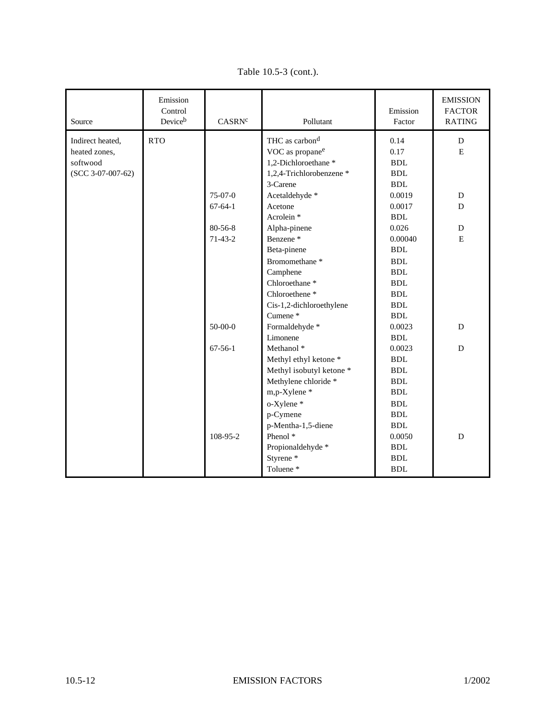| Source              | Emission<br>Control<br>Deviceb | CASRN <sup>c</sup> | Pollutant                   | Emission<br>Factor   | <b>EMISSION</b><br><b>FACTOR</b><br><b>RATING</b> |
|---------------------|--------------------------------|--------------------|-----------------------------|----------------------|---------------------------------------------------|
| Indirect heated,    | <b>RTO</b>                     |                    | THC as carbon <sup>d</sup>  | 0.14                 | D                                                 |
| heated zones,       |                                |                    | VOC as propane <sup>e</sup> | 0.17                 | E                                                 |
| softwood            |                                |                    | 1,2-Dichloroethane*         | <b>BDL</b>           |                                                   |
| $(SCC 3-07-007-62)$ |                                |                    | 1,2,4-Trichlorobenzene *    | <b>BDL</b>           |                                                   |
|                     |                                |                    | 3-Carene                    | $\operatorname{BDL}$ |                                                   |
|                     |                                | 75-07-0            | Acetaldehyde *              | 0.0019               | ${\bf D}$                                         |
|                     |                                | $67-64-1$          | Acetone                     | 0.0017               | $\mathbf D$                                       |
|                     |                                |                    | Acrolein <sup>*</sup>       | <b>BDL</b>           |                                                   |
|                     |                                | 80-56-8            | Alpha-pinene                | 0.026                | D                                                 |
|                     |                                | $71-43-2$          | Benzene <sup>*</sup>        | 0.00040              | $\mathbf E$                                       |
|                     |                                |                    | Beta-pinene                 | <b>BDL</b>           |                                                   |
|                     |                                |                    | Bromomethane <sup>*</sup>   | ${\bf BDL}$          |                                                   |
|                     |                                |                    | Camphene                    | <b>BDL</b>           |                                                   |
|                     |                                |                    | Chloroethane <sup>*</sup>   | <b>BDL</b>           |                                                   |
|                     |                                |                    | Chloroethene <sup>*</sup>   | <b>BDL</b>           |                                                   |
|                     |                                |                    | Cis-1,2-dichloroethylene    | <b>BDL</b>           |                                                   |
|                     |                                |                    | Cumene <sup>*</sup>         | <b>BDL</b>           |                                                   |
|                     |                                | $50-00-0$          | Formaldehyde *              | 0.0023               | D                                                 |
|                     |                                |                    | Limonene                    | <b>BDL</b>           |                                                   |
|                     |                                | $67 - 56 - 1$      | Methanol <sup>*</sup>       | 0.0023               | D                                                 |
|                     |                                |                    | Methyl ethyl ketone *       | <b>BDL</b>           |                                                   |
|                     |                                |                    | Methyl isobutyl ketone *    | <b>BDL</b>           |                                                   |
|                     |                                |                    | Methylene chloride *        | <b>BDL</b>           |                                                   |
|                     |                                |                    | m,p-Xylene*                 | <b>BDL</b>           |                                                   |
|                     |                                |                    | o-Xylene*                   | <b>BDL</b>           |                                                   |
|                     |                                |                    | p-Cymene                    | <b>BDL</b>           |                                                   |
|                     |                                |                    | p-Mentha-1,5-diene          | <b>BDL</b>           |                                                   |
|                     |                                | 108-95-2           | Phenol <sup>*</sup>         | 0.0050               | D                                                 |
|                     |                                |                    | Propionaldehyde *           | <b>BDL</b>           |                                                   |
|                     |                                |                    | Styrene <sup>*</sup>        | <b>BDL</b>           |                                                   |
|                     |                                |                    | Toluene <sup>*</sup>        | <b>BDL</b>           |                                                   |

Table 10.5-3 (cont.).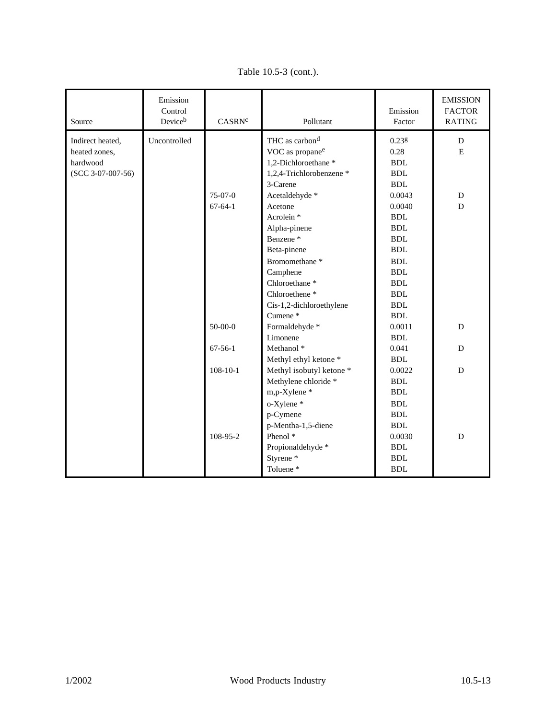| Source              | Emission<br>Control<br>Deviceb | CASRN <sup>c</sup> | Pollutant                   | Emission<br>Factor   | <b>EMISSION</b><br><b>FACTOR</b><br><b>RATING</b> |
|---------------------|--------------------------------|--------------------|-----------------------------|----------------------|---------------------------------------------------|
| Indirect heated,    | Uncontrolled                   |                    | THC as carbon <sup>d</sup>  | $0.23$ g             | D                                                 |
| heated zones,       |                                |                    | VOC as propane <sup>e</sup> | 0.28                 | E                                                 |
| hardwood            |                                |                    | 1,2-Dichloroethane*         | $\operatorname{BDL}$ |                                                   |
| $(SCC 3-07-007-56)$ |                                |                    | 1,2,4-Trichlorobenzene *    | ${\bf BDL}$          |                                                   |
|                     |                                |                    | 3-Carene                    | <b>BDL</b>           |                                                   |
|                     |                                | $75-07-0$          | Acetaldehyde *              | 0.0043               | D                                                 |
|                     |                                | $67-64-1$          | Acetone                     | 0.0040               | D                                                 |
|                     |                                |                    | Acrolein <sup>*</sup>       | <b>BDL</b>           |                                                   |
|                     |                                |                    | Alpha-pinene                | <b>BDL</b>           |                                                   |
|                     |                                |                    | Benzene <sup>*</sup>        | <b>BDL</b>           |                                                   |
|                     |                                |                    | Beta-pinene                 | <b>BDL</b>           |                                                   |
|                     |                                |                    | Bromomethane <sup>*</sup>   | <b>BDL</b>           |                                                   |
|                     |                                |                    | Camphene                    | <b>BDL</b>           |                                                   |
|                     |                                |                    | Chloroethane <sup>*</sup>   | <b>BDL</b>           |                                                   |
|                     |                                |                    | Chloroethene <sup>*</sup>   | <b>BDL</b>           |                                                   |
|                     |                                |                    | Cis-1,2-dichloroethylene    | <b>BDL</b>           |                                                   |
|                     |                                |                    | Cumene*                     | <b>BDL</b>           |                                                   |
|                     |                                | $50-00-0$          | Formaldehyde *              | 0.0011               | $\mathbf D$                                       |
|                     |                                |                    | Limonene                    | <b>BDL</b>           |                                                   |
|                     |                                | $67 - 56 - 1$      | Methanol *                  | 0.041                | D                                                 |
|                     |                                |                    | Methyl ethyl ketone *       | <b>BDL</b>           |                                                   |
|                     |                                | $108-10-1$         | Methyl isobutyl ketone *    | 0.0022               | D                                                 |
|                     |                                |                    | Methylene chloride *        | <b>BDL</b>           |                                                   |
|                     |                                |                    | m,p-Xylene*                 | <b>BDL</b>           |                                                   |
|                     |                                |                    | o-Xylene*                   | <b>BDL</b>           |                                                   |
|                     |                                |                    | p-Cymene                    | <b>BDL</b>           |                                                   |
|                     |                                |                    | p-Mentha-1,5-diene          | <b>BDL</b>           |                                                   |
|                     |                                | 108-95-2           | Phenol <sup>*</sup>         | 0.0030               | D                                                 |
|                     |                                |                    | Propionaldehyde *           | <b>BDL</b>           |                                                   |
|                     |                                |                    | Styrene <sup>*</sup>        | <b>BDL</b>           |                                                   |
|                     |                                |                    | Toluene <sup>*</sup>        | <b>BDL</b>           |                                                   |

Table 10.5-3 (cont.).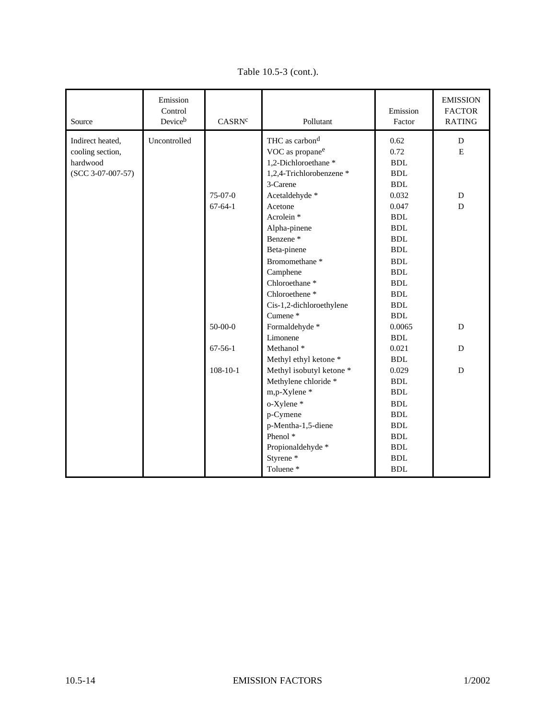| Source              | Emission<br>Control<br>Deviceb | CASRN <sup>c</sup> | Pollutant                   | Emission<br>Factor   | <b>EMISSION</b><br><b>FACTOR</b><br><b>RATING</b> |
|---------------------|--------------------------------|--------------------|-----------------------------|----------------------|---------------------------------------------------|
| Indirect heated,    | Uncontrolled                   |                    | THC as carbon <sup>d</sup>  | 0.62                 | $\mathbf D$                                       |
| cooling section,    |                                |                    | VOC as propane <sup>e</sup> | 0.72                 | ${\bf E}$                                         |
| hardwood            |                                |                    | 1,2-Dichloroethane *        | <b>BDL</b>           |                                                   |
| $(SCC 3-07-007-57)$ |                                |                    | 1,2,4-Trichlorobenzene *    | <b>BDL</b>           |                                                   |
|                     |                                |                    | 3-Carene                    | <b>BDL</b>           |                                                   |
|                     |                                | 75-07-0            | Acetaldehyde *              | 0.032                | D                                                 |
|                     |                                | $67 - 64 - 1$      | Acetone                     | 0.047                | D                                                 |
|                     |                                |                    | Acrolein <sup>*</sup>       | <b>BDL</b>           |                                                   |
|                     |                                |                    | Alpha-pinene                | <b>BDL</b>           |                                                   |
|                     |                                |                    | Benzene <sup>*</sup>        | ${\bf BDL}$          |                                                   |
|                     |                                |                    | Beta-pinene                 | ${\bf BDL}$          |                                                   |
|                     |                                |                    | Bromomethane <sup>*</sup>   | <b>BDL</b>           |                                                   |
|                     |                                |                    | Camphene                    | <b>BDL</b>           |                                                   |
|                     |                                |                    | Chloroethane <sup>*</sup>   | <b>BDL</b>           |                                                   |
|                     |                                |                    | Chloroethene <sup>*</sup>   | <b>BDL</b>           |                                                   |
|                     |                                |                    | Cis-1,2-dichloroethylene    | <b>BDL</b>           |                                                   |
|                     |                                |                    | Cumene*                     | <b>BDL</b>           |                                                   |
|                     |                                | $50 - 00 - 0$      | Formaldehyde *              | 0.0065               | D                                                 |
|                     |                                |                    | Limonene                    | $\operatorname{BDL}$ |                                                   |
|                     |                                | $67 - 56 - 1$      | Methanol <sup>*</sup>       | 0.021                | D                                                 |
|                     |                                |                    | Methyl ethyl ketone *       | <b>BDL</b>           |                                                   |
|                     |                                | $108 - 10 - 1$     | Methyl isobutyl ketone *    | 0.029                | D                                                 |
|                     |                                |                    | Methylene chloride *        | <b>BDL</b>           |                                                   |
|                     |                                |                    | m,p-Xylene*                 | <b>BDL</b>           |                                                   |
|                     |                                |                    | o-Xylene *                  | <b>BDL</b>           |                                                   |
|                     |                                |                    | p-Cymene                    | <b>BDL</b>           |                                                   |
|                     |                                |                    | p-Mentha-1,5-diene          | <b>BDL</b>           |                                                   |
|                     |                                |                    | Phenol <sup>*</sup>         | <b>BDL</b>           |                                                   |
|                     |                                |                    | Propionaldehyde *           | <b>BDL</b>           |                                                   |
|                     |                                |                    | Styrene <sup>*</sup>        | <b>BDL</b>           |                                                   |
|                     |                                |                    | Toluene*                    | <b>BDL</b>           |                                                   |

Table 10.5-3 (cont.).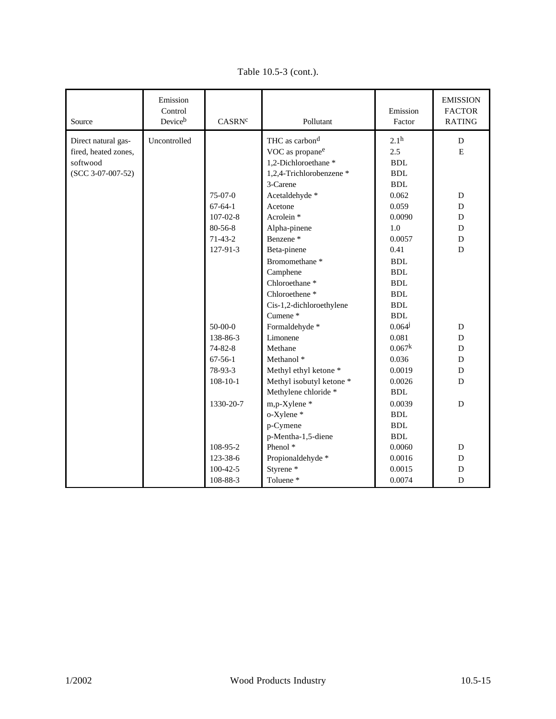| Source               | Emission<br>Control<br>Deviceb | CASRN <sup>c</sup> | Pollutant                   | Emission<br>Factor | <b>EMISSION</b><br><b>FACTOR</b><br><b>RATING</b> |
|----------------------|--------------------------------|--------------------|-----------------------------|--------------------|---------------------------------------------------|
| Direct natural gas-  | Uncontrolled                   |                    | THC as carbon <sup>d</sup>  | 2.1 <sup>h</sup>   | D                                                 |
| fired, heated zones, |                                |                    | VOC as propane <sup>e</sup> | 2.5                | $\mathbf E$                                       |
| softwood             |                                |                    | 1,2-Dichloroethane *        | <b>BDL</b>         |                                                   |
| $(SCC 3-07-007-52)$  |                                |                    | 1,2,4-Trichlorobenzene *    | <b>BDL</b>         |                                                   |
|                      |                                |                    | 3-Carene                    | <b>BDL</b>         |                                                   |
|                      |                                | $75-07-0$          | Acetaldehyde *              | 0.062              | D                                                 |
|                      |                                | $67-64-1$          | Acetone                     | 0.059              | D                                                 |
|                      |                                | $107 - 02 - 8$     | Acrolein <sup>*</sup>       | 0.0090             | D                                                 |
|                      |                                | $80 - 56 - 8$      | Alpha-pinene                | 1.0                | D                                                 |
|                      |                                | $71-43-2$          | Benzene <sup>*</sup>        | 0.0057             | D                                                 |
|                      |                                | 127-91-3           | Beta-pinene                 | 0.41               | $\mathbf D$                                       |
|                      |                                |                    | Bromomethane <sup>*</sup>   | <b>BDL</b>         |                                                   |
|                      |                                |                    | Camphene                    | <b>BDL</b>         |                                                   |
|                      |                                |                    | Chloroethane <sup>*</sup>   | <b>BDL</b>         |                                                   |
|                      |                                |                    | Chloroethene <sup>*</sup>   | <b>BDL</b>         |                                                   |
|                      |                                |                    | Cis-1,2-dichloroethylene    | <b>BDL</b>         |                                                   |
|                      |                                |                    | Cumene*                     | <b>BDL</b>         |                                                   |
|                      |                                | $50 - 00 - 0$      | Formaldehyde *              | $0.064^{j}$        | ${\bf D}$                                         |
|                      |                                | 138-86-3           | Limonene                    | 0.081              | D                                                 |
|                      |                                | $74 - 82 - 8$      | Methane                     | 0.067 <sup>k</sup> | D                                                 |
|                      |                                | $67 - 56 - 1$      | Methanol <sup>*</sup>       | 0.036              | D                                                 |
|                      |                                | 78-93-3            | Methyl ethyl ketone *       | 0.0019             | D                                                 |
|                      |                                | $108 - 10 - 1$     | Methyl isobutyl ketone *    | 0.0026             | D                                                 |
|                      |                                |                    | Methylene chloride *        | <b>BDL</b>         |                                                   |
|                      |                                | 1330-20-7          | m,p-Xylene*                 | 0.0039             | $\mathbf D$                                       |
|                      |                                |                    | o-Xylene*                   | <b>BDL</b>         |                                                   |
|                      |                                |                    | p-Cymene                    | <b>BDL</b>         |                                                   |
|                      |                                |                    | p-Mentha-1,5-diene          | <b>BDL</b>         |                                                   |
|                      |                                | 108-95-2           | Phenol <sup>*</sup>         | 0.0060             | ${\bf D}$                                         |
|                      |                                | 123-38-6           | Propionaldehyde *           | 0.0016             | D                                                 |
|                      |                                | $100-42-5$         | Styrene*                    | 0.0015             | D                                                 |
|                      |                                | 108-88-3           | Toluene*                    | 0.0074             | D                                                 |

Table 10.5-3 (cont.).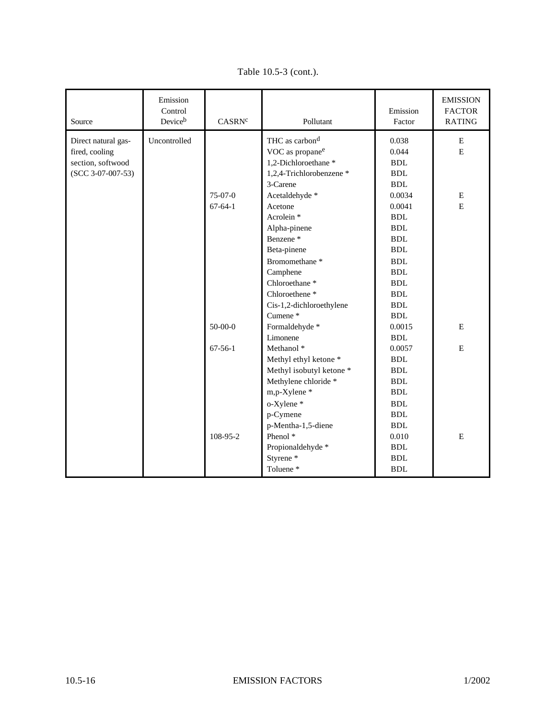| Source              | Emission<br>Control<br>Deviceb | CASRN <sup>c</sup> | Pollutant                   | Emission<br>Factor   | <b>EMISSION</b><br><b>FACTOR</b><br><b>RATING</b> |
|---------------------|--------------------------------|--------------------|-----------------------------|----------------------|---------------------------------------------------|
| Direct natural gas- | Uncontrolled                   |                    | THC as carbon <sup>d</sup>  | 0.038                | ${\bf E}$                                         |
| fired, cooling      |                                |                    | VOC as propane <sup>e</sup> | 0.044                | ${\bf E}$                                         |
| section, softwood   |                                |                    | 1,2-Dichloroethane*         | $\operatorname{BDL}$ |                                                   |
| $(SCC 3-07-007-53)$ |                                |                    | 1,2,4-Trichlorobenzene *    | ${\bf BDL}$          |                                                   |
|                     |                                |                    | 3-Carene                    | $\operatorname{BDL}$ |                                                   |
|                     |                                | 75-07-0            | Acetaldehyde *              | 0.0034               | $\mathbf E$                                       |
|                     |                                | $67-64-1$          | Acetone                     | 0.0041               | E                                                 |
|                     |                                |                    | Acrolein <sup>*</sup>       | <b>BDL</b>           |                                                   |
|                     |                                |                    | Alpha-pinene                | ${\bf BDL}$          |                                                   |
|                     |                                |                    | Benzene <sup>*</sup>        | ${\bf BDL}$          |                                                   |
|                     |                                |                    | Beta-pinene                 | ${\bf BDL}$          |                                                   |
|                     |                                |                    | Bromomethane <sup>*</sup>   | ${\bf BDL}$          |                                                   |
|                     |                                |                    | Camphene                    | <b>BDL</b>           |                                                   |
|                     |                                |                    | Chloroethane <sup>*</sup>   | <b>BDL</b>           |                                                   |
|                     |                                |                    | Chloroethene <sup>*</sup>   | <b>BDL</b>           |                                                   |
|                     |                                |                    | Cis-1,2-dichloroethylene    | <b>BDL</b>           |                                                   |
|                     |                                |                    | Cumene*                     | <b>BDL</b>           |                                                   |
|                     |                                | $50-00-0$          | Formaldehyde *              | 0.0015               | E                                                 |
|                     |                                |                    | Limonene                    | <b>BDL</b>           |                                                   |
|                     |                                | $67 - 56 - 1$      | Methanol <sup>*</sup>       | 0.0057               | E                                                 |
|                     |                                |                    | Methyl ethyl ketone *       | <b>BDL</b>           |                                                   |
|                     |                                |                    | Methyl isobutyl ketone *    | <b>BDL</b>           |                                                   |
|                     |                                |                    | Methylene chloride *        | <b>BDL</b>           |                                                   |
|                     |                                |                    | m,p-Xylene*                 | <b>BDL</b>           |                                                   |
|                     |                                |                    | o-Xylene*                   | <b>BDL</b>           |                                                   |
|                     |                                |                    | p-Cymene                    | <b>BDL</b>           |                                                   |
|                     |                                |                    | p-Mentha-1,5-diene          | <b>BDL</b>           |                                                   |
|                     |                                | 108-95-2           | Phenol <sup>*</sup>         | 0.010                | E                                                 |
|                     |                                |                    | Propionaldehyde *           | <b>BDL</b>           |                                                   |
|                     |                                |                    | Styrene <sup>*</sup>        | <b>BDL</b>           |                                                   |
|                     |                                |                    | Toluene <sup>*</sup>        | <b>BDL</b>           |                                                   |

Table 10.5-3 (cont.).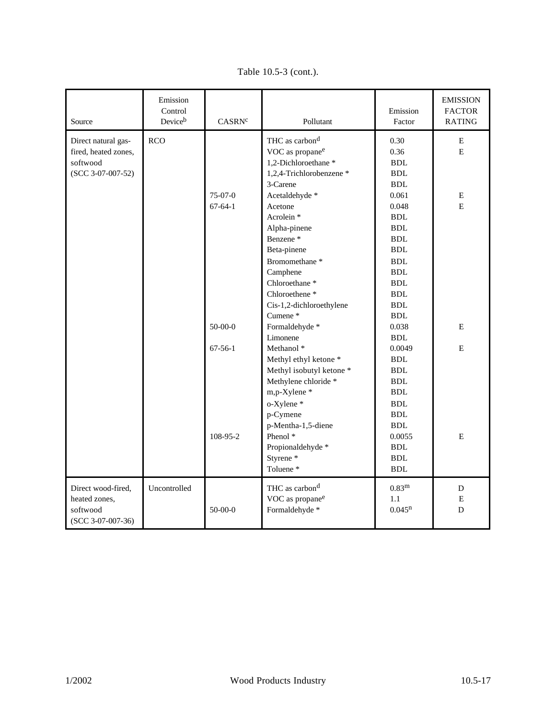| Source                                                                         | Emission<br>Control<br>Deviceb | CASRN <sup>c</sup>                               | Pollutant                                                                                                                                                                                                                                                                                                                                                                                                                                                        | Emission<br>Factor                                                                                                                                                                                                                                                                      | <b>EMISSION</b><br><b>FACTOR</b><br><b>RATING</b> |
|--------------------------------------------------------------------------------|--------------------------------|--------------------------------------------------|------------------------------------------------------------------------------------------------------------------------------------------------------------------------------------------------------------------------------------------------------------------------------------------------------------------------------------------------------------------------------------------------------------------------------------------------------------------|-----------------------------------------------------------------------------------------------------------------------------------------------------------------------------------------------------------------------------------------------------------------------------------------|---------------------------------------------------|
| Direct natural gas-<br>fired, heated zones,<br>softwood<br>$(SCC 3-07-007-52)$ | <b>RCO</b>                     | $75-07-0$<br>$67-64-1$<br>$50-00-0$<br>$67-56-1$ | THC as carbon <sup>d</sup><br>VOC as propane <sup>e</sup><br>1,2-Dichloroethane *<br>1,2,4-Trichlorobenzene *<br>3-Carene<br>Acetaldehyde *<br>Acetone<br>Acrolein <sup>*</sup><br>Alpha-pinene<br>Benzene <sup>*</sup><br>Beta-pinene<br>Bromomethane <sup>*</sup><br>Camphene<br>Chloroethane <sup>*</sup><br>Chloroethene <sup>*</sup><br>Cis-1,2-dichloroethylene<br>Cumene*<br>Formaldehyde *<br>Limonene<br>Methanol <sup>*</sup><br>Methyl ethyl ketone * | 0.30<br>0.36<br><b>BDL</b><br><b>BDL</b><br><b>BDL</b><br>0.061<br>0.048<br><b>BDL</b><br><b>BDL</b><br><b>BDL</b><br><b>BDL</b><br><b>BDL</b><br>$\operatorname{BDL}$<br><b>BDL</b><br><b>BDL</b><br>$\operatorname{BDL}$<br><b>BDL</b><br>0.038<br><b>BDL</b><br>0.0049<br><b>BDL</b> | E<br>E<br>Е<br>E<br>E<br>E                        |
| Direct wood-fired,<br>heated zones,<br>softwood<br>$(SCC 3-07-007-36)$         | Uncontrolled                   | 108-95-2<br>$50-00-0$                            | Methyl isobutyl ketone *<br>Methylene chloride *<br>m,p-Xylene*<br>o-Xylene*<br>p-Cymene<br>p-Mentha-1,5-diene<br>Phenol <sup>*</sup><br>Propionaldehyde *<br>Styrene <sup>*</sup><br>Toluene*<br>THC as carbon <sup>d</sup><br>VOC as propane <sup>e</sup><br>Formaldehyde *                                                                                                                                                                                    | $\operatorname{BDL}$<br><b>BDL</b><br>BDL.<br><b>BDL</b><br><b>BDL</b><br>$\operatorname{BDL}$<br>0.0055<br><b>BDL</b><br>$\operatorname{BDL}$<br><b>BDL</b><br>0.83 <sup>m</sup><br>1.1<br>$0.045^n$                                                                                   | ${\bf E}$<br>$\mathbf D$<br>E<br>D                |

Table 10.5-3 (cont.).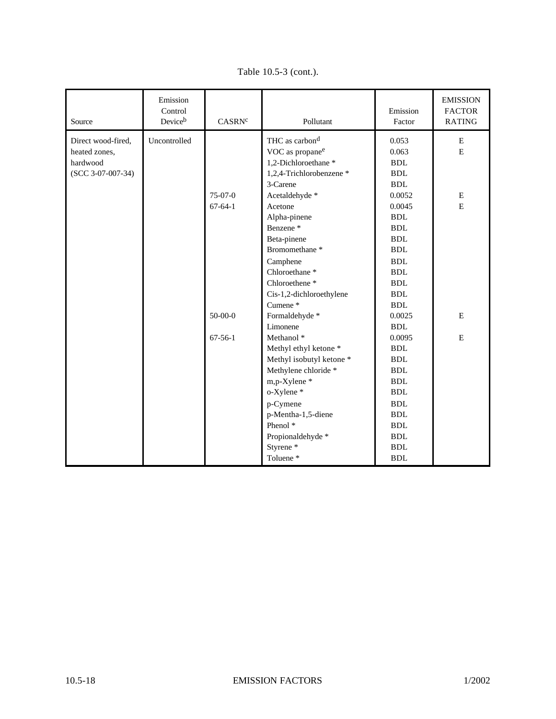| Source              | Emission<br>Control<br>Deviceb | CASRN <sup>c</sup> | Pollutant                   | Emission<br>Factor | <b>EMISSION</b><br><b>FACTOR</b><br><b>RATING</b> |
|---------------------|--------------------------------|--------------------|-----------------------------|--------------------|---------------------------------------------------|
| Direct wood-fired,  | Uncontrolled                   |                    | THC as carbon <sup>d</sup>  | 0.053              | E                                                 |
| heated zones,       |                                |                    | VOC as propane <sup>e</sup> | 0.063              | ${\bf E}$                                         |
| hardwood            |                                |                    | 1,2-Dichloroethane *        | <b>BDL</b>         |                                                   |
| $(SCC 3-07-007-34)$ |                                |                    | 1,2,4-Trichlorobenzene *    | <b>BDL</b>         |                                                   |
|                     |                                |                    | 3-Carene                    | <b>BDL</b>         |                                                   |
|                     |                                | $75-07-0$          | Acetaldehyde *              | 0.0052             | E                                                 |
|                     |                                | $67-64-1$          | Acetone                     | 0.0045             | ${\bf E}$                                         |
|                     |                                |                    | Alpha-pinene                | <b>BDL</b>         |                                                   |
|                     |                                |                    | Benzene <sup>*</sup>        | <b>BDL</b>         |                                                   |
|                     |                                |                    | Beta-pinene                 | <b>BDL</b>         |                                                   |
|                     |                                |                    | Bromomethane <sup>*</sup>   | <b>BDL</b>         |                                                   |
|                     |                                |                    | Camphene                    | <b>BDL</b>         |                                                   |
|                     |                                |                    | Chloroethane <sup>*</sup>   | <b>BDL</b>         |                                                   |
|                     |                                |                    | Chloroethene <sup>*</sup>   | <b>BDL</b>         |                                                   |
|                     |                                |                    | Cis-1,2-dichloroethylene    | <b>BDL</b>         |                                                   |
|                     |                                |                    | Cumene*                     | <b>BDL</b>         |                                                   |
|                     |                                | $50-00-0$          | Formaldehyde*               | 0.0025             | E                                                 |
|                     |                                |                    | Limonene                    | <b>BDL</b>         |                                                   |
|                     |                                | $67-56-1$          | Methanol <sup>*</sup>       | 0.0095             | E                                                 |
|                     |                                |                    | Methyl ethyl ketone *       | <b>BDL</b>         |                                                   |
|                     |                                |                    | Methyl isobutyl ketone *    | <b>BDL</b>         |                                                   |
|                     |                                |                    | Methylene chloride *        | <b>BDL</b>         |                                                   |
|                     |                                |                    | m,p-Xylene*                 | <b>BDL</b>         |                                                   |
|                     |                                |                    | o-Xylene*                   | <b>BDL</b>         |                                                   |
|                     |                                |                    | p-Cymene                    | <b>BDL</b>         |                                                   |
|                     |                                |                    | p-Mentha-1,5-diene          | <b>BDL</b>         |                                                   |
|                     |                                |                    | Phenol <sup>*</sup>         | <b>BDL</b>         |                                                   |
|                     |                                |                    | Propionaldehyde *           | <b>BDL</b>         |                                                   |
|                     |                                |                    | Styrene <sup>*</sup>        | <b>BDL</b>         |                                                   |
|                     |                                |                    | Toluene*                    | <b>BDL</b>         |                                                   |

Table 10.5-3 (cont.).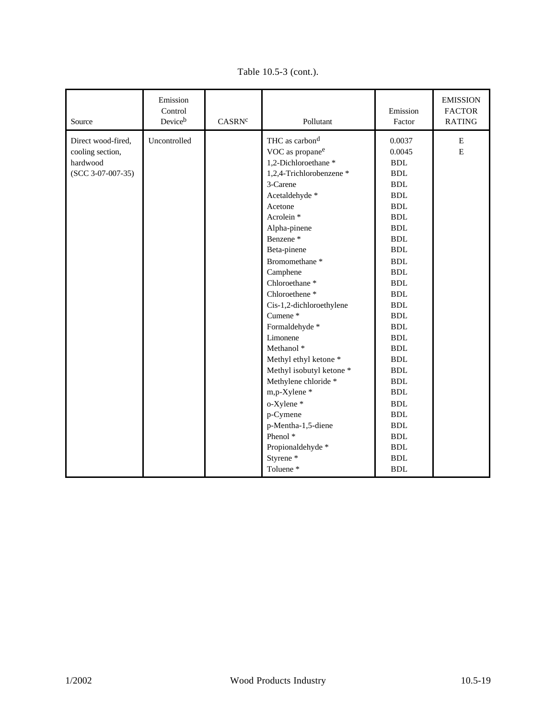| Source                                                                    | Emission<br>Control<br>Deviceb | CASRN <sup>c</sup> | Pollutant                                                                                                                                                                                                                                                                                                                                                                                                                                                                                                                                                                                                                                                           | Emission<br>Factor                                                                                                                                                                                                                                                                                                                                                                                                       | <b>EMISSION</b><br><b>FACTOR</b><br><b>RATING</b> |
|---------------------------------------------------------------------------|--------------------------------|--------------------|---------------------------------------------------------------------------------------------------------------------------------------------------------------------------------------------------------------------------------------------------------------------------------------------------------------------------------------------------------------------------------------------------------------------------------------------------------------------------------------------------------------------------------------------------------------------------------------------------------------------------------------------------------------------|--------------------------------------------------------------------------------------------------------------------------------------------------------------------------------------------------------------------------------------------------------------------------------------------------------------------------------------------------------------------------------------------------------------------------|---------------------------------------------------|
| Direct wood-fired,<br>cooling section,<br>hardwood<br>$(SCC 3-07-007-35)$ | Uncontrolled                   |                    | THC as carbon <sup>d</sup><br>VOC as propane <sup>e</sup><br>1,2-Dichloroethane *<br>1,2,4-Trichlorobenzene *<br>3-Carene<br>Acetaldehyde *<br>Acetone<br>Acrolein <sup>*</sup><br>Alpha-pinene<br>Benzene <sup>*</sup><br>Beta-pinene<br>Bromomethane <sup>*</sup><br>Camphene<br>Chloroethane <sup>*</sup><br>Chloroethene <sup>*</sup><br>Cis-1,2-dichloroethylene<br>Cumene <sup>*</sup><br>Formaldehyde *<br>Limonene<br>Methanol <sup>*</sup><br>Methyl ethyl ketone *<br>Methyl isobutyl ketone *<br>Methylene chloride *<br>m,p-Xylene *<br>o-Xylene*<br>p-Cymene<br>p-Mentha-1,5-diene<br>Phenol <sup>*</sup><br>Propionaldehyde *<br>Styrene <sup>*</sup> | 0.0037<br>0.0045<br><b>BDL</b><br><b>BDL</b><br><b>BDL</b><br><b>BDL</b><br><b>BDL</b><br><b>BDL</b><br><b>BDL</b><br><b>BDL</b><br><b>BDL</b><br><b>BDL</b><br><b>BDL</b><br><b>BDL</b><br><b>BDL</b><br><b>BDL</b><br><b>BDL</b><br><b>BDL</b><br><b>BDL</b><br><b>BDL</b><br><b>BDL</b><br><b>BDL</b><br><b>BDL</b><br><b>BDL</b><br><b>BDL</b><br><b>BDL</b><br><b>BDL</b><br><b>BDL</b><br><b>BDL</b><br><b>BDL</b> | Е<br>${\bf E}$                                    |
|                                                                           |                                |                    | Toluene*                                                                                                                                                                                                                                                                                                                                                                                                                                                                                                                                                                                                                                                            | <b>BDL</b>                                                                                                                                                                                                                                                                                                                                                                                                               |                                                   |

Table 10.5-3 (cont.).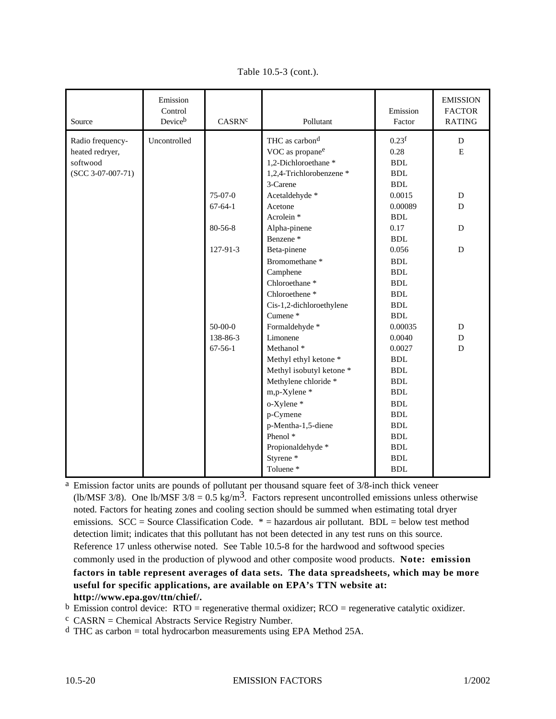| Source              | Emission<br>Control<br>Deviceb | CASRN <sup>c</sup> | Pollutant                   | Emission<br>Factor   | <b>EMISSION</b><br><b>FACTOR</b><br><b>RATING</b> |
|---------------------|--------------------------------|--------------------|-----------------------------|----------------------|---------------------------------------------------|
| Radio frequency-    | Uncontrolled                   |                    | THC as carbon <sup>d</sup>  | 0.23 <sup>f</sup>    | D                                                 |
| heated redryer,     |                                |                    | VOC as propane <sup>e</sup> | 0.28                 | ${\bf E}$                                         |
| softwood            |                                |                    | 1,2-Dichloroethane *        | <b>BDL</b>           |                                                   |
| $(SCC 3-07-007-71)$ |                                |                    | 1,2,4-Trichlorobenzene *    | <b>BDL</b>           |                                                   |
|                     |                                |                    | 3-Carene                    | <b>BDL</b>           |                                                   |
|                     |                                | 75-07-0            | Acetaldehyde *              | 0.0015               | D                                                 |
|                     |                                | $67 - 64 - 1$      | Acetone                     | 0.00089              | ${\bf D}$                                         |
|                     |                                |                    | Acrolein <sup>*</sup>       | <b>BDL</b>           |                                                   |
|                     |                                | $80 - 56 - 8$      | Alpha-pinene                | 0.17                 | D                                                 |
|                     |                                |                    | Benzene <sup>*</sup>        | <b>BDL</b>           |                                                   |
|                     |                                | 127-91-3           | Beta-pinene                 | 0.056                | D                                                 |
|                     |                                |                    | Bromomethane <sup>*</sup>   | $\operatorname{BDL}$ |                                                   |
|                     |                                |                    | Camphene                    | <b>BDL</b>           |                                                   |
|                     |                                |                    | Chloroethane <sup>*</sup>   | <b>BDL</b>           |                                                   |
|                     |                                |                    | Chloroethene <sup>*</sup>   | <b>BDL</b>           |                                                   |
|                     |                                |                    | Cis-1,2-dichloroethylene    | <b>BDL</b>           |                                                   |
|                     |                                |                    | Cumene*                     | <b>BDL</b>           |                                                   |
|                     |                                | $50 - 00 - 0$      | Formaldehyde *              | 0.00035              | ${\bf D}$                                         |
|                     |                                | 138-86-3           | Limonene                    | 0.0040               | ${\bf D}$                                         |
|                     |                                | $67-56-1$          | Methanol <sup>*</sup>       | 0.0027               | D                                                 |
|                     |                                |                    | Methyl ethyl ketone *       | <b>BDL</b>           |                                                   |
|                     |                                |                    | Methyl isobutyl ketone *    | <b>BDL</b>           |                                                   |
|                     |                                |                    | Methylene chloride *        | <b>BDL</b>           |                                                   |
|                     |                                |                    | m,p-Xylene*                 | BDL                  |                                                   |
|                     |                                |                    | o-Xylene*                   | <b>BDL</b>           |                                                   |
|                     |                                |                    | p-Cymene                    | <b>BDL</b>           |                                                   |
|                     |                                |                    | p-Mentha-1,5-diene          | $\operatorname{BDL}$ |                                                   |
|                     |                                |                    | Phenol <sup>*</sup>         | ${\bf BDL}$          |                                                   |
|                     |                                |                    | Propionaldehyde *           | <b>BDL</b>           |                                                   |
|                     |                                |                    | Styrene <sup>*</sup>        | <b>BDL</b>           |                                                   |
|                     |                                |                    | Toluene*                    | <b>BDL</b>           |                                                   |

Table 10.5-3 (cont.).

a Emission factor units are pounds of pollutant per thousand square feet of 3/8-inch thick veneer (lb/MSF 3/8). One lb/MSF  $3/8 = 0.5$  kg/m<sup>3</sup>. Factors represent uncontrolled emissions unless otherwise noted. Factors for heating zones and cooling section should be summed when estimating total dryer emissions.  $SCC = Source Classification Code. * = hazardous air pollutant. BDL = below test method$ detection limit; indicates that this pollutant has not been detected in any test runs on this source. Reference 17 unless otherwise noted. See Table 10.5-8 for the hardwood and softwood species commonly used in the production of plywood and other composite wood products. **Note: emission factors in table represent averages of data sets. The data spreadsheets, which may be more useful for specific applications, are available on EPA's TTN website at: http://www.epa.gov/ttn/chief/.**

 $<sup>b</sup>$  Emission control device: RTO = regenerative thermal oxidizer; RCO = regenerative catalytic oxidizer.</sup>

 $c$  CASRN = Chemical Abstracts Service Registry Number.

d THC as carbon = total hydrocarbon measurements using EPA Method 25A.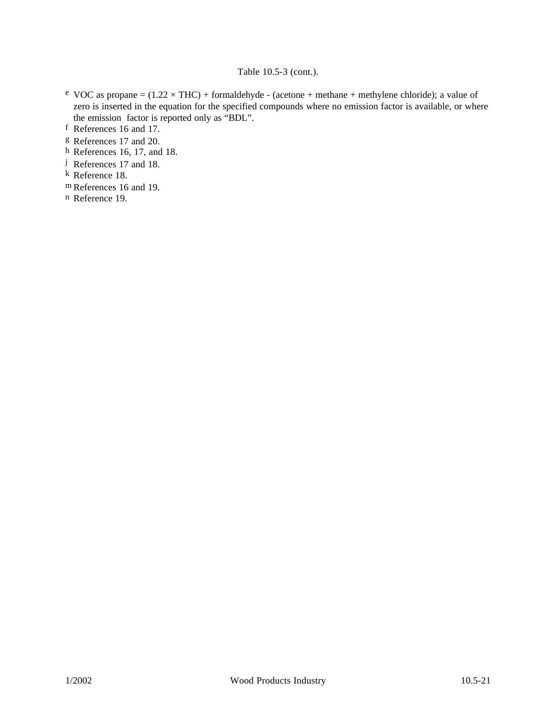### Table 10.5-3 (cont.).

- <sup>e</sup> VOC as propane =  $(1.22 \times THC)$  + formaldehyde (acetone + methane + methylene chloride); a value of zero is inserted in the equation for the specified compounds where no emission factor is available, or where the emission factor is reported only as "BDL".
- f References 16 and 17.
- g References 17 and 20.
- h References 16, 17, and 18.
- j References 17 and 18.
- k Reference 18.
- m References 16 and 19.
- n Reference 19.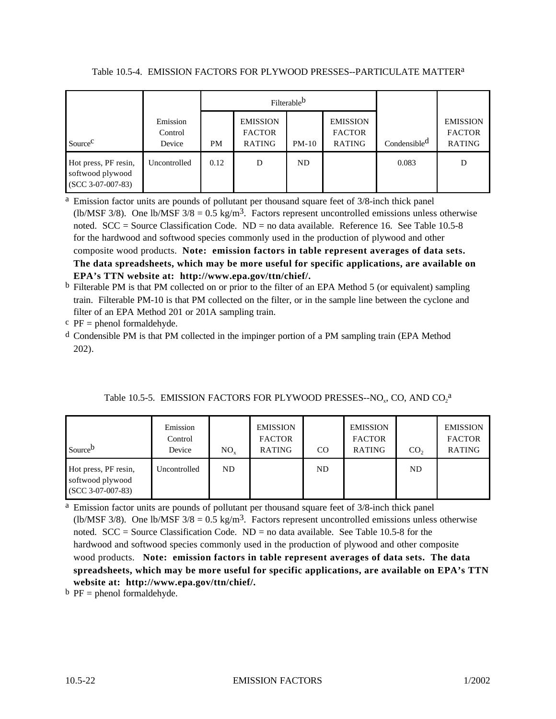|                                                                 |                               |           | Filterable <sup>b</sup>                           |         |                                                   |                          |                                                   |
|-----------------------------------------------------------------|-------------------------------|-----------|---------------------------------------------------|---------|---------------------------------------------------|--------------------------|---------------------------------------------------|
| Source <sup>C</sup>                                             | Emission<br>Control<br>Device | <b>PM</b> | <b>EMISSION</b><br><b>FACTOR</b><br><b>RATING</b> | $PM-10$ | <b>EMISSION</b><br><b>FACTOR</b><br><b>RATING</b> | Condensible <sup>d</sup> | <b>EMISSION</b><br><b>FACTOR</b><br><b>RATING</b> |
| Hot press, PF resin,<br>softwood plywood<br>$(SCC 3-07-007-83)$ | Uncontrolled                  | 0.12      | D                                                 | ND      |                                                   | 0.083                    | D                                                 |

Table 10.5-4. EMISSION FACTORS FOR PLYWOOD PRESSES--PARTICULATE MATTERa

<sup>a</sup> Emission factor units are pounds of pollutant per thousand square feet of 3/8-inch thick panel (lb/MSF 3/8). One lb/MSF  $3/8 = 0.5 \text{ kg/m}^3$ . Factors represent uncontrolled emissions unless otherwise noted.  $SCC = Source Classification Code. ND = no data available. Reference 16. See Table 10.5-8$ for the hardwood and softwood species commonly used in the production of plywood and other composite wood products. **Note: emission factors in table represent averages of data sets. The data spreadsheets, which may be more useful for specific applications, are available on EPA's TTN website at: http://www.epa.gov/ttn/chief/.**

- $<sup>b</sup>$  Filterable PM is that PM collected on or prior to the filter of an EPA Method 5 (or equivalent) sampling</sup> train. Filterable PM-10 is that PM collected on the filter, or in the sample line between the cyclone and filter of an EPA Method 201 or 201A sampling train.
- $c$  PF = phenol formaldehyde.
- d Condensible PM is that PM collected in the impinger portion of a PM sampling train (EPA Method 202).

| Table 10.5-5. EMISSION FACTORS FOR PLYWOOD PRESSES--NO <sub>x</sub> , CO, AND CO <sub>2</sub> <sup>a</sup> |  |  |  |  |
|------------------------------------------------------------------------------------------------------------|--|--|--|--|
|                                                                                                            |  |  |  |  |

| Sourceb                                                         | Emission<br>Control<br>Device | NO <sub>x</sub> | <b>EMISSION</b><br><b>FACTOR</b><br>RATING | CO. | <b>EMISSION</b><br><b>FACTOR</b><br><b>RATING</b> | CO <sub>2</sub> | <b>EMISSION</b><br><b>FACTOR</b><br><b>RATING</b> |
|-----------------------------------------------------------------|-------------------------------|-----------------|--------------------------------------------|-----|---------------------------------------------------|-----------------|---------------------------------------------------|
| Hot press, PF resin,<br>softwood plywood<br>$(SCC 3-07-007-83)$ | Uncontrolled                  | ND              |                                            | ND  |                                                   | ND              |                                                   |

<sup>a</sup> Emission factor units are pounds of pollutant per thousand square feet of 3/8-inch thick panel (lb/MSF 3/8). One lb/MSF  $3/8 = 0.5$  kg/m<sup>3</sup>. Factors represent uncontrolled emissions unless otherwise noted.  $SCC = Source Classification Code$ .  $ND = no data available$ . See Table 10.5-8 for the hardwood and softwood species commonly used in the production of plywood and other composite wood products. **Note: emission factors in table represent averages of data sets. The data spreadsheets, which may be more useful for specific applications, are available on EPA's TTN website at: http://www.epa.gov/ttn/chief/.**

 $b$  PF = phenol formaldehyde.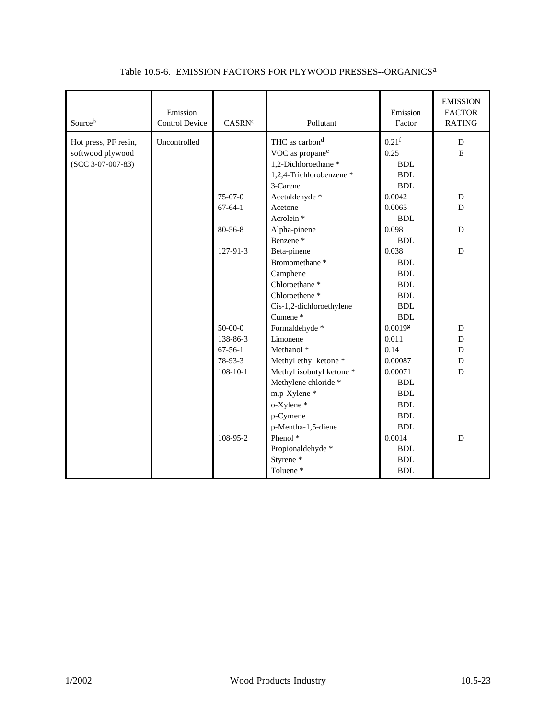| Sourceb                                                         | Emission<br><b>Control Device</b> | CASRN <sup>c</sup> | Pollutant                                                                                                                                  | Emission<br>Factor                                                                        | <b>EMISSION</b><br><b>FACTOR</b><br><b>RATING</b> |
|-----------------------------------------------------------------|-----------------------------------|--------------------|--------------------------------------------------------------------------------------------------------------------------------------------|-------------------------------------------------------------------------------------------|---------------------------------------------------|
| Hot press, PF resin,<br>softwood plywood<br>$(SCC 3-07-007-83)$ | Uncontrolled                      | $75-07-0$          | THC as carbon <sup>d</sup><br>VOC as propane <sup>e</sup><br>1,2-Dichloroethane*<br>1,2,4-Trichlorobenzene *<br>3-Carene<br>Acetaldehyde * | 0.21 <sup>f</sup><br>0.25<br><b>BDL</b><br><b>BDL</b><br><b>BDL</b><br>0.0042             | D<br>E<br>D                                       |
|                                                                 |                                   | $67-64-1$          | Acetone<br>Acrolein <sup>*</sup>                                                                                                           | 0.0065<br><b>BDL</b>                                                                      | D                                                 |
|                                                                 |                                   | $80 - 56 - 8$      | Alpha-pinene<br>Benzene <sup>*</sup>                                                                                                       | 0.098<br>BDL                                                                              | D                                                 |
|                                                                 |                                   | 127-91-3           | Beta-pinene<br>Bromomethane <sup>*</sup><br>Camphene<br>Chloroethane*<br>Chloroethene <sup>*</sup><br>Cis-1,2-dichloroethylene<br>Cumene*  | 0.038<br><b>BDL</b><br><b>BDL</b><br><b>BDL</b><br><b>BDL</b><br><b>BDL</b><br><b>BDL</b> | D                                                 |
|                                                                 |                                   | $50-00-0$          | Formaldehyde *                                                                                                                             | 0.00198                                                                                   | D                                                 |
|                                                                 |                                   | 138-86-3           | Limonene                                                                                                                                   | 0.011                                                                                     | D                                                 |
|                                                                 |                                   | $67-56-1$          | Methanol <sup>*</sup>                                                                                                                      | 0.14                                                                                      | D                                                 |
|                                                                 |                                   | 78-93-3            | Methyl ethyl ketone *                                                                                                                      | 0.00087                                                                                   | D                                                 |
|                                                                 |                                   | $108-10-1$         | Methyl isobutyl ketone *<br>Methylene chloride *<br>m,p-Xylene*<br>o-Xylene*<br>p-Cymene<br>p-Mentha-1,5-diene                             | 0.00071<br><b>BDL</b><br><b>BDL</b><br><b>BDL</b><br><b>BDL</b><br>BDL                    | $\mathbf D$                                       |
|                                                                 |                                   | 108-95-2           | Phenol <sup>*</sup><br>Propionaldehyde *<br>Styrene <sup>*</sup><br>Toluene*                                                               | 0.0014<br><b>BDL</b><br><b>BDL</b><br><b>BDL</b>                                          | $\mathbf D$                                       |

## Table 10.5-6. EMISSION FACTORS FOR PLYWOOD PRESSES--ORGANICSa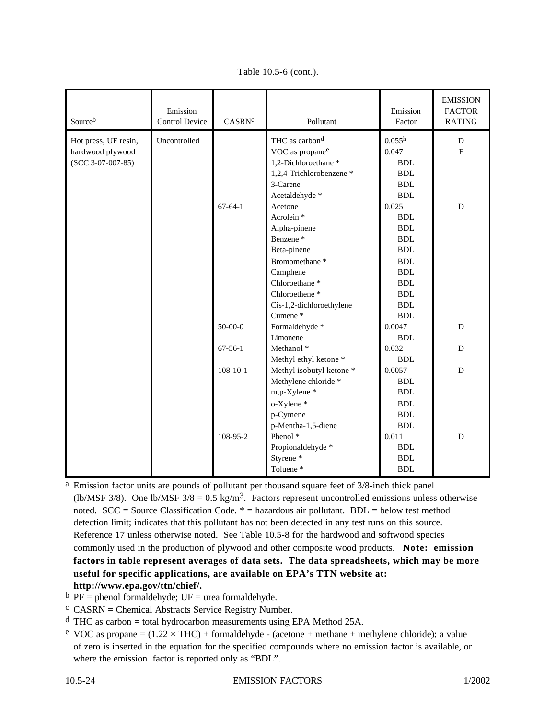| Sourceb              | Emission<br><b>Control Device</b> | CASRN <sup>c</sup> | Pollutant                   | Emission<br>Factor   | <b>EMISSION</b><br><b>FACTOR</b><br>RATING |
|----------------------|-----------------------------------|--------------------|-----------------------------|----------------------|--------------------------------------------|
| Hot press, UF resin, | Uncontrolled                      |                    | THC as carbon <sup>d</sup>  | 0.055 <sup>h</sup>   | D                                          |
| hardwood plywood     |                                   |                    | VOC as propane <sup>e</sup> | 0.047                | $\mathbf E$                                |
| $(SCC 3-07-007-85)$  |                                   |                    | 1,2-Dichloroethane*         | <b>BDL</b>           |                                            |
|                      |                                   |                    | 1,2,4-Trichlorobenzene *    | <b>BDL</b>           |                                            |
|                      |                                   |                    | 3-Carene                    | <b>BDL</b>           |                                            |
|                      |                                   |                    | Acetaldehyde *              | <b>BDL</b>           |                                            |
|                      |                                   | $67-64-1$          | Acetone                     | 0.025                | D                                          |
|                      |                                   |                    | Acrolein <sup>*</sup>       | <b>BDL</b>           |                                            |
|                      |                                   |                    | Alpha-pinene                | <b>BDL</b>           |                                            |
|                      |                                   |                    | Benzene <sup>*</sup>        | $\operatorname{BDL}$ |                                            |
|                      |                                   |                    | Beta-pinene                 | $\operatorname{BDL}$ |                                            |
|                      |                                   |                    | Bromomethane <sup>*</sup>   | $\operatorname{BDL}$ |                                            |
|                      |                                   |                    | Camphene                    | <b>BDL</b>           |                                            |
|                      |                                   |                    | Chloroethane <sup>*</sup>   | <b>BDL</b>           |                                            |
|                      |                                   |                    | Chloroethene <sup>*</sup>   | <b>BDL</b>           |                                            |
|                      |                                   |                    | Cis-1,2-dichloroethylene    | <b>BDL</b>           |                                            |
|                      |                                   |                    | Cumene <sup>*</sup>         | $\operatorname{BDL}$ |                                            |
|                      |                                   | $50-00-0$          | Formaldehyde *              | 0.0047               | ${\bf D}$                                  |
|                      |                                   |                    | Limonene                    | <b>BDL</b>           |                                            |
|                      |                                   | $67-56-1$          | Methanol <sup>*</sup>       | 0.032                | D                                          |
|                      |                                   |                    | Methyl ethyl ketone *       | <b>BDL</b>           |                                            |
|                      |                                   | $108 - 10 - 1$     | Methyl isobutyl ketone *    | 0.0057               | D                                          |
|                      |                                   |                    | Methylene chloride *        | <b>BDL</b>           |                                            |
|                      |                                   |                    | m,p-Xylene*                 | <b>BDL</b>           |                                            |
|                      |                                   |                    | o-Xylene*                   | <b>BDL</b>           |                                            |
|                      |                                   |                    | p-Cymene                    | <b>BDL</b>           |                                            |
|                      |                                   |                    | p-Mentha-1,5-diene          | BDL                  |                                            |
|                      |                                   | 108-95-2           | Phenol <sup>*</sup>         | 0.011                | ${\bf D}$                                  |
|                      |                                   |                    | Propionaldehyde *           | <b>BDL</b>           |                                            |
|                      |                                   |                    | Styrene <sup>*</sup>        | <b>BDL</b>           |                                            |
|                      |                                   |                    | Toluene*                    | <b>BDL</b>           |                                            |

Table 10.5-6 (cont.).

<sup>a</sup> Emission factor units are pounds of pollutant per thousand square feet of 3/8-inch thick panel (lb/MSF 3/8). One lb/MSF  $3/8 = 0.5$  kg/m<sup>3</sup>. Factors represent uncontrolled emissions unless otherwise noted.  $SCC = Source Classification Code. * = hazardous air pollutant. BDL = below test method$ detection limit; indicates that this pollutant has not been detected in any test runs on this source. Reference 17 unless otherwise noted. See Table 10.5-8 for the hardwood and softwood species commonly used in the production of plywood and other composite wood products. **Note: emission factors in table represent averages of data sets. The data spreadsheets, which may be more useful for specific applications, are available on EPA's TTN website at: http://www.epa.gov/ttn/chief/.**

- $<sup>b</sup> PF = phenol formula de by de; UF = urea formula de by de.$ </sup>
- $c$  CASRN = Chemical Abstracts Service Registry Number.
- $d$  THC as carbon = total hydrocarbon measurements using EPA Method 25A.
- <sup>e</sup> VOC as propane =  $(1.22 \times THC)$  + formaldehyde (acetone + methane + methylene chloride); a value of zero is inserted in the equation for the specified compounds where no emission factor is available, or where the emission factor is reported only as "BDL".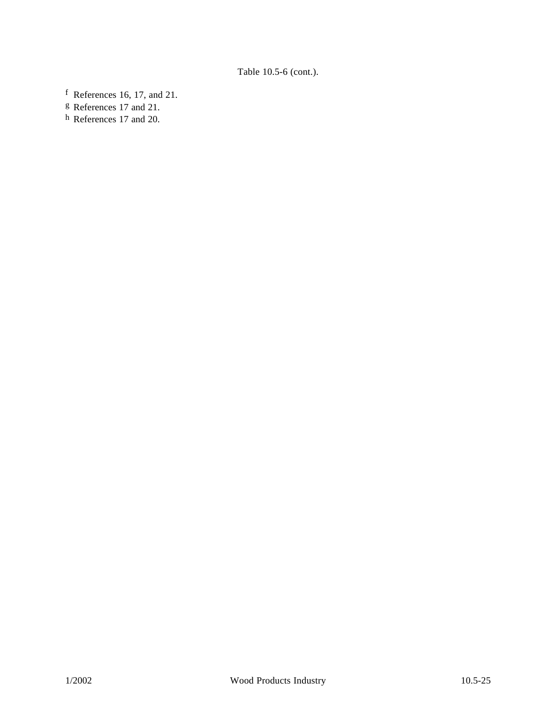f References 16, 17, and 21.

g References 17 and 21.

h References 17 and 20.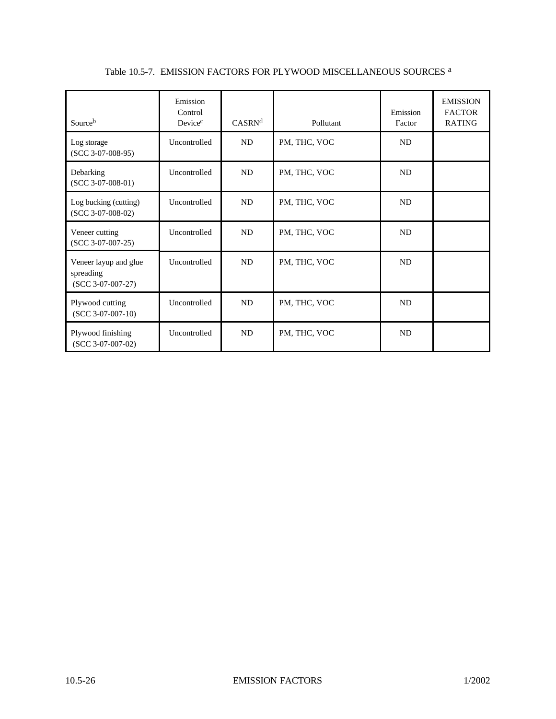| Sourceb                                                   | Emission<br>Control<br>Device <sup>c</sup> | CASRN <sup>d</sup> | Pollutant    | Emission<br>Factor | <b>EMISSION</b><br><b>FACTOR</b><br><b>RATING</b> |
|-----------------------------------------------------------|--------------------------------------------|--------------------|--------------|--------------------|---------------------------------------------------|
| Log storage<br>$(SCC 3-07-008-95)$                        | Uncontrolled                               | ND                 | PM, THC, VOC | <b>ND</b>          |                                                   |
| Debarking<br>$(SCC 3-07-008-01)$                          | Uncontrolled                               | ND                 | PM, THC, VOC | <b>ND</b>          |                                                   |
| Log bucking (cutting)<br>$(SCC 3-07-008-02)$              | Uncontrolled                               | <b>ND</b>          | PM, THC, VOC | <b>ND</b>          |                                                   |
| Veneer cutting<br>$(SCC 3-07-007-25)$                     | Uncontrolled                               | <b>ND</b>          | PM, THC, VOC | <b>ND</b>          |                                                   |
| Veneer layup and glue<br>spreading<br>$(SCC 3-07-007-27)$ | Uncontrolled                               | ND                 | PM, THC, VOC | <b>ND</b>          |                                                   |
| Plywood cutting<br>$(SCC 3-07-007-10)$                    | Uncontrolled                               | ND                 | PM, THC, VOC | <b>ND</b>          |                                                   |
| Plywood finishing<br>$(SCC 3-07-007-02)$                  | Uncontrolled                               | ND                 | PM, THC, VOC | <b>ND</b>          |                                                   |

# Table 10.5-7. EMISSION FACTORS FOR PLYWOOD MISCELLANEOUS SOURCES a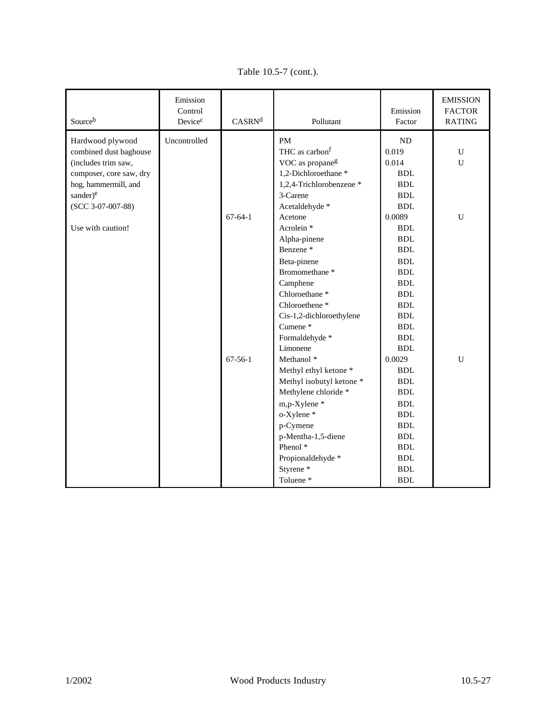| Sourceb                 | Emission<br>Control<br>Device <sup>c</sup> | CASRN <sup>d</sup> | Pollutant                   | Emission<br>Factor | <b>EMISSION</b><br><b>FACTOR</b><br>RATING |
|-------------------------|--------------------------------------------|--------------------|-----------------------------|--------------------|--------------------------------------------|
| Hardwood plywood        | Uncontrolled                               |                    | <b>PM</b>                   | <b>ND</b>          |                                            |
| combined dust baghouse  |                                            |                    | THC as carbon <sup>f</sup>  | 0.019              | U                                          |
| (includes trim saw,     |                                            |                    | VOC as propane <sup>g</sup> | 0.014              | $\mathbf U$                                |
| composer, core saw, dry |                                            |                    | 1,2-Dichloroethane*         | <b>BDL</b>         |                                            |
| hog, hammermill, and    |                                            |                    | 1,2,4-Trichlorobenzene *    | <b>BDL</b>         |                                            |
| sander) <sup>e</sup>    |                                            |                    | 3-Carene                    | <b>BDL</b>         |                                            |
| $(SCC 3-07-007-88)$     |                                            |                    | Acetaldehyde *              | <b>BDL</b>         |                                            |
|                         |                                            | $67-64-1$          | Acetone                     | 0.0089             | $\mathbf U$                                |
| Use with caution!       |                                            |                    | Acrolein <sup>*</sup>       | <b>BDL</b>         |                                            |
|                         |                                            |                    | Alpha-pinene                | BDL                |                                            |
|                         |                                            |                    | Benzene <sup>*</sup>        | BDL                |                                            |
|                         |                                            |                    | Beta-pinene                 | BDL                |                                            |
|                         |                                            |                    | Bromomethane <sup>*</sup>   | <b>BDL</b>         |                                            |
|                         |                                            |                    | Camphene                    | <b>BDL</b>         |                                            |
|                         |                                            |                    | Chloroethane <sup>*</sup>   | <b>BDL</b>         |                                            |
|                         |                                            |                    | Chloroethene <sup>*</sup>   | <b>BDL</b>         |                                            |
|                         |                                            |                    | Cis-1,2-dichloroethylene    | <b>BDL</b>         |                                            |
|                         |                                            |                    | Cumene <sup>*</sup>         | <b>BDL</b>         |                                            |
|                         |                                            |                    | Formaldehyde *              | <b>BDL</b>         |                                            |
|                         |                                            |                    | Limonene                    | <b>BDL</b>         |                                            |
|                         |                                            | $67-56-1$          | Methanol <sup>*</sup>       | 0.0029             | $\mathbf U$                                |
|                         |                                            |                    | Methyl ethyl ketone *       | <b>BDL</b>         |                                            |
|                         |                                            |                    | Methyl isobutyl ketone *    | <b>BDL</b>         |                                            |
|                         |                                            |                    | Methylene chloride *        | <b>BDL</b>         |                                            |
|                         |                                            |                    | m,p-Xylene*                 | <b>BDL</b>         |                                            |
|                         |                                            |                    | o-Xylene*                   | <b>BDL</b>         |                                            |
|                         |                                            |                    | p-Cymene                    | <b>BDL</b>         |                                            |
|                         |                                            |                    | p-Mentha-1,5-diene          | <b>BDL</b>         |                                            |
|                         |                                            |                    | Phenol <sup>*</sup>         | <b>BDL</b>         |                                            |
|                         |                                            |                    | Propionaldehyde *           | <b>BDL</b>         |                                            |
|                         |                                            |                    | Styrene*                    | <b>BDL</b>         |                                            |
|                         |                                            |                    | Toluene*                    | <b>BDL</b>         |                                            |

Table 10.5-7 (cont.).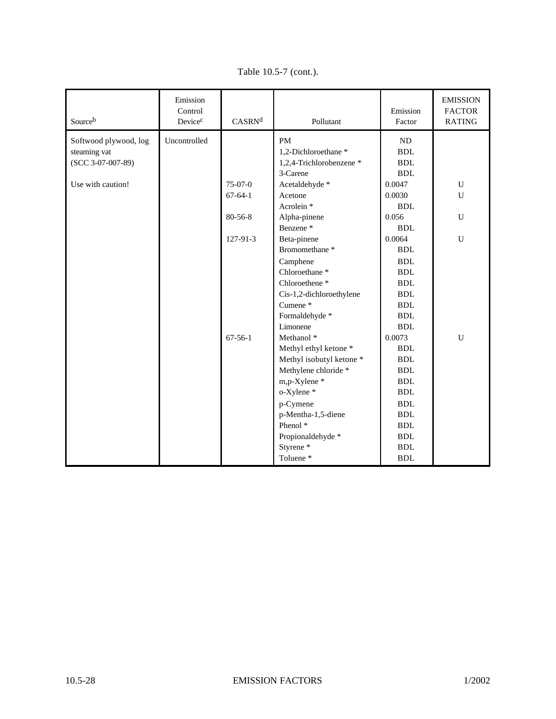| Sourceb               | Emission<br>Control<br>Device <sup>c</sup> | CASRN <sup>d</sup> | Pollutant                        | Emission<br>Factor   | <b>EMISSION</b><br><b>FACTOR</b><br><b>RATING</b> |
|-----------------------|--------------------------------------------|--------------------|----------------------------------|----------------------|---------------------------------------------------|
| Softwood plywood, log | Uncontrolled                               |                    | <b>PM</b>                        | ND                   |                                                   |
| steaming vat          |                                            |                    | 1,2-Dichloroethane*              | <b>BDL</b>           |                                                   |
| $(SCC 3-07-007-89)$   |                                            |                    | 1,2,4-Trichlorobenzene*          | <b>BDL</b>           |                                                   |
|                       |                                            |                    | 3-Carene                         | BDL                  |                                                   |
| Use with caution!     |                                            | 75-07-0            | Acetaldehyde *                   | 0.0047               | ${\bf U}$                                         |
|                       |                                            | $67 - 64 - 1$      | Acetone                          | 0.0030               | U                                                 |
|                       |                                            |                    | Acrolein <sup>*</sup>            | BDL                  |                                                   |
|                       |                                            | 80-56-8            | Alpha-pinene                     | 0.056                | $\mathbf U$                                       |
|                       |                                            |                    | Benzene <sup>*</sup>             | BDL                  |                                                   |
|                       |                                            | 127-91-3           | Beta-pinene                      | 0.0064               | $\mathbf U$                                       |
|                       |                                            |                    | Bromomethane <sup>*</sup>        | <b>BDL</b>           |                                                   |
|                       |                                            |                    | Camphene                         | <b>BDL</b>           |                                                   |
|                       |                                            |                    | Chloroethane <sup>*</sup>        | <b>BDL</b>           |                                                   |
|                       |                                            |                    | Chloroethene*                    | <b>BDL</b>           |                                                   |
|                       |                                            |                    | Cis-1,2-dichloroethylene         | <b>BDL</b>           |                                                   |
|                       |                                            |                    | Cumene*                          | <b>BDL</b>           |                                                   |
|                       |                                            |                    | Formaldehyde *                   | $\operatorname{BDL}$ |                                                   |
|                       |                                            |                    | Limonene                         | <b>BDL</b>           |                                                   |
|                       |                                            | $67-56-1$          | Methanol <sup>*</sup>            | 0.0073               | U                                                 |
|                       |                                            |                    | Methyl ethyl ketone <sup>*</sup> | <b>BDL</b>           |                                                   |
|                       |                                            |                    | Methyl isobutyl ketone *         | <b>BDL</b>           |                                                   |
|                       |                                            |                    | Methylene chloride *             | <b>BDL</b>           |                                                   |
|                       |                                            |                    | m,p-Xylene *                     | <b>BDL</b>           |                                                   |
|                       |                                            |                    | o-Xylene*                        | <b>BDL</b>           |                                                   |
|                       |                                            |                    | p-Cymene                         | <b>BDL</b>           |                                                   |
|                       |                                            |                    | p-Mentha-1,5-diene               | <b>BDL</b>           |                                                   |
|                       |                                            |                    | Phenol <sup>*</sup>              | <b>BDL</b>           |                                                   |
|                       |                                            |                    | Propionaldehyde *                | <b>BDL</b>           |                                                   |
|                       |                                            |                    | Styrene*                         | <b>BDL</b>           |                                                   |
|                       |                                            |                    | Toluene*                         | <b>BDL</b>           |                                                   |

Table 10.5-7 (cont.).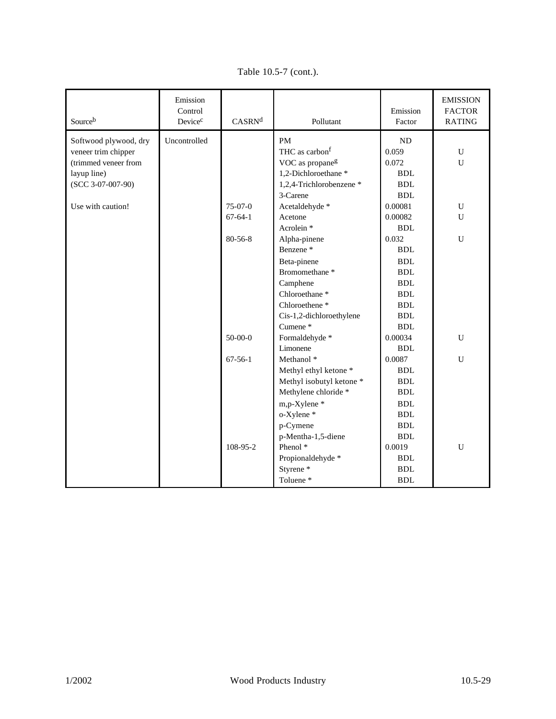| Sourceb               | Emission<br>Control<br>Device <sup>c</sup> | CASRN <sup>d</sup> | Pollutant                   | Emission<br>Factor | <b>EMISSION</b><br><b>FACTOR</b><br><b>RATING</b> |
|-----------------------|--------------------------------------------|--------------------|-----------------------------|--------------------|---------------------------------------------------|
| Softwood plywood, dry | Uncontrolled                               |                    | <b>PM</b>                   | <b>ND</b>          |                                                   |
| veneer trim chipper   |                                            |                    | THC as carbon <sup>f</sup>  | 0.059              | U                                                 |
| (trimmed veneer from  |                                            |                    | VOC as propane <sup>g</sup> | 0.072              | $\mathbf U$                                       |
| layup line)           |                                            |                    | 1,2-Dichloroethane*         | BDL                |                                                   |
| $(SCC 3-07-007-90)$   |                                            |                    | 1,2,4-Trichlorobenzene *    | <b>BDL</b>         |                                                   |
|                       |                                            |                    | 3-Carene                    | <b>BDL</b>         |                                                   |
| Use with caution!     |                                            | 75-07-0            | Acetaldehyde *              | 0.00081            | $\mathbf U$                                       |
|                       |                                            | $67 - 64 - 1$      | Acetone                     | 0.00082            | U                                                 |
|                       |                                            |                    | Acrolein <sup>*</sup>       | <b>BDL</b>         |                                                   |
|                       |                                            | $80 - 56 - 8$      | Alpha-pinene                | 0.032              | $\mathbf U$                                       |
|                       |                                            |                    | Benzene <sup>*</sup>        | <b>BDL</b>         |                                                   |
|                       |                                            |                    | Beta-pinene                 | <b>BDL</b>         |                                                   |
|                       |                                            |                    | Bromomethane <sup>*</sup>   | <b>BDL</b>         |                                                   |
|                       |                                            |                    | Camphene                    | <b>BDL</b>         |                                                   |
|                       |                                            |                    | Chloroethane <sup>*</sup>   | <b>BDL</b>         |                                                   |
|                       |                                            |                    | Chloroethene <sup>*</sup>   | <b>BDL</b>         |                                                   |
|                       |                                            |                    | Cis-1,2-dichloroethylene    | <b>BDL</b>         |                                                   |
|                       |                                            |                    | Cumene <sup>*</sup>         | <b>BDL</b>         |                                                   |
|                       |                                            | $50 - 00 - 0$      | Formaldehyde*               | 0.00034            | ${\bf U}$                                         |
|                       |                                            |                    | Limonene                    | BDL                |                                                   |
|                       |                                            | $67-56-1$          | Methanol <sup>*</sup>       | 0.0087             | $\mathbf U$                                       |
|                       |                                            |                    | Methyl ethyl ketone *       | <b>BDL</b>         |                                                   |
|                       |                                            |                    | Methyl isobutyl ketone *    | <b>BDL</b>         |                                                   |
|                       |                                            |                    | Methylene chloride *        | <b>BDL</b>         |                                                   |
|                       |                                            |                    | m,p-Xylene*                 | <b>BDL</b>         |                                                   |
|                       |                                            |                    | o-Xylene*                   | <b>BDL</b>         |                                                   |
|                       |                                            |                    | p-Cymene                    | <b>BDL</b>         |                                                   |
|                       |                                            |                    | p-Mentha-1,5-diene          | <b>BDL</b>         |                                                   |
|                       |                                            | 108-95-2           | Phenol <sup>*</sup>         | 0.0019             | U                                                 |
|                       |                                            |                    | Propionaldehyde *           | <b>BDL</b>         |                                                   |
|                       |                                            |                    | Styrene <sup>*</sup>        | <b>BDL</b>         |                                                   |
|                       |                                            |                    | Toluene*                    | <b>BDL</b>         |                                                   |

Table 10.5-7 (cont.).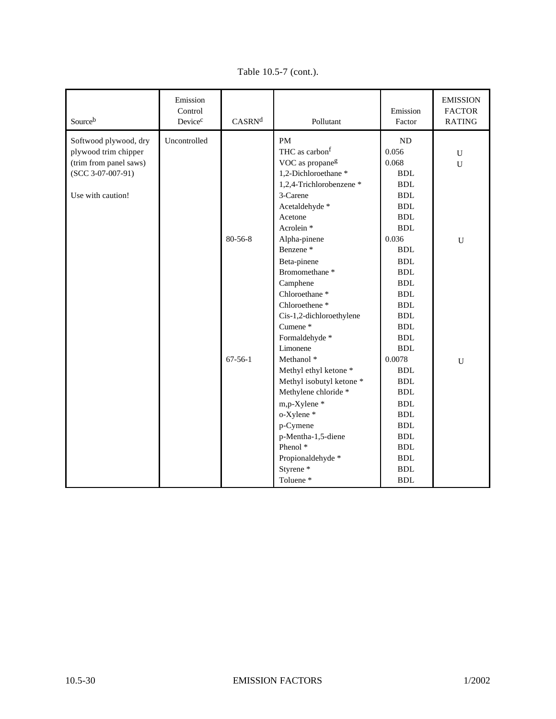| Sourceb                                                                                                             | Emission<br>Control<br>Device <sup>c</sup> | CASRN <sup>d</sup> | Pollutant                                                                                                                                                                     | Emission<br>Factor                                                                                                                             | <b>EMISSION</b><br><b>FACTOR</b><br>RATING |
|---------------------------------------------------------------------------------------------------------------------|--------------------------------------------|--------------------|-------------------------------------------------------------------------------------------------------------------------------------------------------------------------------|------------------------------------------------------------------------------------------------------------------------------------------------|--------------------------------------------|
| Softwood plywood, dry<br>plywood trim chipper<br>(trim from panel saws)<br>$(SCC 3-07-007-91)$<br>Use with caution! | Uncontrolled                               |                    | <b>PM</b><br>THC as carbon <sup>f</sup><br>VOC as propane <sup>g</sup><br>1,2-Dichloroethane*<br>1,2,4-Trichlorobenzene *<br>3-Carene<br>Acetaldehyde *                       | <b>ND</b><br>0.056<br>0.068<br><b>BDL</b><br>$\operatorname{BDL}$<br><b>BDL</b><br>$\operatorname{BDL}$                                        | U<br>$\mathbf U$                           |
|                                                                                                                     |                                            | 80-56-8            | Acetone<br>Acrolein <sup>*</sup><br>Alpha-pinene<br>Benzene <sup>*</sup><br>Beta-pinene<br>Bromomethane <sup>*</sup><br>Camphene                                              | <b>BDL</b><br><b>BDL</b><br>0.036<br><b>BDL</b><br><b>BDL</b><br><b>BDL</b><br><b>BDL</b>                                                      | $\mathbf U$                                |
|                                                                                                                     |                                            |                    | Chloroethane <sup>*</sup><br>Chloroethene <sup>*</sup><br>Cis-1,2-dichloroethylene<br>Cumene*<br>Formaldehyde*<br>Limonene                                                    | <b>BDL</b><br><b>BDL</b><br><b>BDL</b><br><b>BDL</b><br><b>BDL</b><br><b>BDL</b>                                                               |                                            |
|                                                                                                                     |                                            | $67-56-1$          | Methanol *<br>Methyl ethyl ketone *<br>Methyl isobutyl ketone *<br>Methylene chloride *<br>m,p-Xylene*<br>o-Xylene *<br>p-Cymene<br>p-Mentha-1,5-diene<br>Phenol <sup>*</sup> | $0.0078\,$<br><b>BDL</b><br><b>BDL</b><br>$\operatorname{BDL}$<br><b>BDL</b><br><b>BDL</b><br><b>BDL</b><br>$\operatorname{BDL}$<br><b>BDL</b> | $\mathbf U$                                |
|                                                                                                                     |                                            |                    | Propionaldehyde *<br>Styrene <sup>*</sup><br>Toluene*                                                                                                                         | $\operatorname{BDL}$<br><b>BDL</b><br><b>BDL</b>                                                                                               |                                            |

Table 10.5-7 (cont.).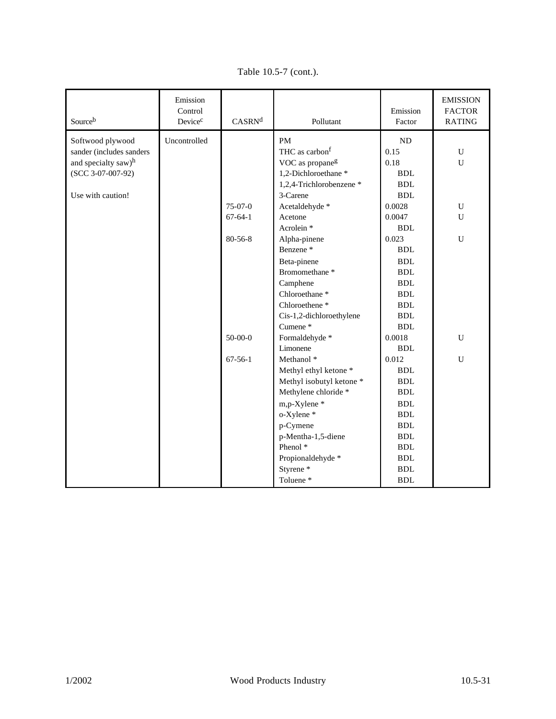| Sourceb                  | Emission<br>Control<br>Device <sup>c</sup> | CASRN <sup>d</sup> | Pollutant                   | Emission<br>Factor   | <b>EMISSION</b><br><b>FACTOR</b><br>RATING |
|--------------------------|--------------------------------------------|--------------------|-----------------------------|----------------------|--------------------------------------------|
| Softwood plywood         | Uncontrolled                               |                    | <b>PM</b>                   | <b>ND</b>            |                                            |
| sander (includes sanders |                                            |                    | THC as carbon <sup>f</sup>  | 0.15                 | U                                          |
| and specialty saw)h      |                                            |                    | VOC as propane <sup>g</sup> | 0.18                 | ${\bf U}$                                  |
| (SCC 3-07-007-92)        |                                            |                    | 1,2-Dichloroethane *        | <b>BDL</b>           |                                            |
|                          |                                            |                    | 1,2,4-Trichlorobenzene *    | $\operatorname{BDL}$ |                                            |
| Use with caution!        |                                            |                    | 3-Carene                    | <b>BDL</b>           |                                            |
|                          |                                            | $75-07-0$          | Acetaldehyde *              | 0.0028               | ${\bf U}$                                  |
|                          |                                            | $67-64-1$          | Acetone                     | 0.0047               | $\mathbf U$                                |
|                          |                                            |                    | Acrolein <sup>*</sup>       | <b>BDL</b>           |                                            |
|                          |                                            | 80-56-8            | Alpha-pinene                | 0.023                | $\mathbf U$                                |
|                          |                                            |                    | Benzene <sup>*</sup>        | <b>BDL</b>           |                                            |
|                          |                                            |                    | Beta-pinene                 | <b>BDL</b>           |                                            |
|                          |                                            |                    | Bromomethane*               | <b>BDL</b>           |                                            |
|                          |                                            |                    | Camphene                    | <b>BDL</b>           |                                            |
|                          |                                            |                    | Chloroethane <sup>*</sup>   | <b>BDL</b>           |                                            |
|                          |                                            |                    | Chloroethene <sup>*</sup>   | $\operatorname{BDL}$ |                                            |
|                          |                                            |                    | Cis-1,2-dichloroethylene    | <b>BDL</b>           |                                            |
|                          |                                            |                    | Cumene*                     | <b>BDL</b>           |                                            |
|                          |                                            | $50-00-0$          | Formaldehyde *              | 0.0018               | $\mathbf U$                                |
|                          |                                            |                    | Limonene                    | <b>BDL</b>           |                                            |
|                          |                                            | $67-56-1$          | Methanol <sup>*</sup>       | 0.012                | U                                          |
|                          |                                            |                    | Methyl ethyl ketone *       | $\operatorname{BDL}$ |                                            |
|                          |                                            |                    | Methyl isobutyl ketone *    | <b>BDL</b>           |                                            |
|                          |                                            |                    | Methylene chloride *        | $\operatorname{BDL}$ |                                            |
|                          |                                            |                    | m,p-Xylene *                | <b>BDL</b>           |                                            |
|                          |                                            |                    | o-Xylene*                   | $\operatorname{BDL}$ |                                            |
|                          |                                            |                    | p-Cymene                    | <b>BDL</b>           |                                            |
|                          |                                            |                    | p-Mentha-1,5-diene          | $\operatorname{BDL}$ |                                            |
|                          |                                            |                    | Phenol <sup>*</sup>         | <b>BDL</b>           |                                            |
|                          |                                            |                    | Propionaldehyde *           | $\operatorname{BDL}$ |                                            |
|                          |                                            |                    | Styrene <sup>*</sup>        | <b>BDL</b>           |                                            |
|                          |                                            |                    | Toluene*                    | <b>BDL</b>           |                                            |

Table 10.5-7 (cont.).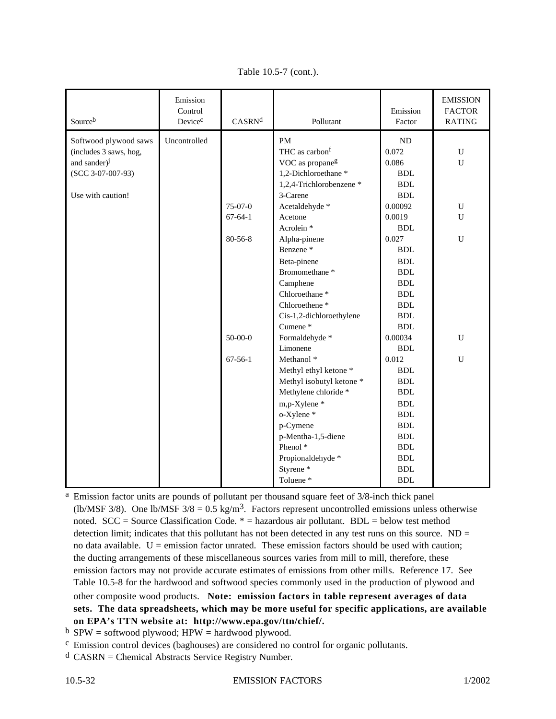| Sourceb                  | Emission<br>Control<br>Device <sup>c</sup> | CASRN <sup>d</sup> | Pollutant                   | Emission<br>Factor   | <b>EMISSION</b><br><b>FACTOR</b><br><b>RATING</b> |
|--------------------------|--------------------------------------------|--------------------|-----------------------------|----------------------|---------------------------------------------------|
| Softwood plywood saws    | Uncontrolled                               |                    | <b>PM</b>                   | ND                   |                                                   |
| (includes 3 saws, hog,   |                                            |                    | THC as carbon <sup>f</sup>  | 0.072                | $\mathbf U$                                       |
| and sander) <sup>j</sup> |                                            |                    | VOC as propane <sup>g</sup> | 0.086                | $\mathbf U$                                       |
| (SCC 3-07-007-93)        |                                            |                    | 1,2-Dichloroethane*         | <b>BDL</b>           |                                                   |
|                          |                                            |                    | 1,2,4-Trichlorobenzene *    | $\operatorname{BDL}$ |                                                   |
| Use with caution!        |                                            |                    | 3-Carene                    | <b>BDL</b>           |                                                   |
|                          |                                            | $75-07-0$          | Acetaldehyde *              | 0.00092              | ${\bf U}$                                         |
|                          |                                            | $67 - 64 - 1$      | Acetone                     | 0.0019               | $\mathbf U$                                       |
|                          |                                            |                    | Acrolein <sup>*</sup>       | <b>BDL</b>           |                                                   |
|                          |                                            | 80-56-8            | Alpha-pinene                | 0.027                | ${\bf U}$                                         |
|                          |                                            |                    | Benzene <sup>*</sup>        | <b>BDL</b>           |                                                   |
|                          |                                            |                    | Beta-pinene                 | <b>BDL</b>           |                                                   |
|                          |                                            |                    | Bromomethane <sup>*</sup>   | <b>BDL</b>           |                                                   |
|                          |                                            |                    | Camphene                    | <b>BDL</b>           |                                                   |
|                          |                                            |                    | Chloroethane <sup>*</sup>   | <b>BDL</b>           |                                                   |
|                          |                                            |                    | Chloroethene <sup>*</sup>   | $\operatorname{BDL}$ |                                                   |
|                          |                                            |                    | Cis-1,2-dichloroethylene    | <b>BDL</b>           |                                                   |
|                          |                                            |                    | Cumene*                     | <b>BDL</b>           |                                                   |
|                          |                                            | $50 - 00 - 0$      | Formaldehyde*               | 0.00034              | ${\bf U}$                                         |
|                          |                                            |                    | Limonene                    | <b>BDL</b>           |                                                   |
|                          |                                            | $67 - 56 - 1$      | Methanol <sup>*</sup>       | 0.012                | ${\bf U}$                                         |
|                          |                                            |                    | Methyl ethyl ketone *       | $\operatorname{BDL}$ |                                                   |
|                          |                                            |                    | Methyl isobutyl ketone *    | <b>BDL</b>           |                                                   |
|                          |                                            |                    | Methylene chloride *        | $\operatorname{BDL}$ |                                                   |
|                          |                                            |                    | m,p-Xylene*                 | $\operatorname{BDL}$ |                                                   |
|                          |                                            |                    | o-Xylene*                   | <b>BDL</b>           |                                                   |
|                          |                                            |                    | p-Cymene                    | $\operatorname{BDL}$ |                                                   |
|                          |                                            |                    | p-Mentha-1,5-diene          | <b>BDL</b>           |                                                   |
|                          |                                            |                    | Phenol <sup>*</sup>         | <b>BDL</b>           |                                                   |
|                          |                                            |                    | Propionaldehyde *           | $\operatorname{BDL}$ |                                                   |
|                          |                                            |                    | Styrene <sup>*</sup>        | <b>BDL</b>           |                                                   |
|                          |                                            |                    | Toluene*                    | ${\bf BDL}$          |                                                   |

Table 10.5-7 (cont.).

<sup>a</sup> Emission factor units are pounds of pollutant per thousand square feet of 3/8-inch thick panel (lb/MSF 3/8). One lb/MSF  $3/8 = 0.5$  kg/m<sup>3</sup>. Factors represent uncontrolled emissions unless otherwise noted.  $SCC = Source Classification Code.* = hazardous air pollutant. BDL = below test method$ detection limit; indicates that this pollutant has not been detected in any test runs on this source.  $ND =$ no data available.  $U =$  emission factor unrated. These emission factors should be used with caution; the ducting arrangements of these miscellaneous sources varies from mill to mill, therefore, these emission factors may not provide accurate estimates of emissions from other mills. Reference 17. See Table 10.5-8 for the hardwood and softwood species commonly used in the production of plywood and other composite wood products. **Note: emission factors in table represent averages of data sets. The data spreadsheets, which may be more useful for specific applications, are available on EPA's TTN website at: http://www.epa.gov/ttn/chief/.**

 $<sup>b</sup>$  SPW = softwood plywood; HPW = hardwood plywood.</sup>

c Emission control devices (baghouses) are considered no control for organic pollutants.

 $d$  CASRN = Chemical Abstracts Service Registry Number.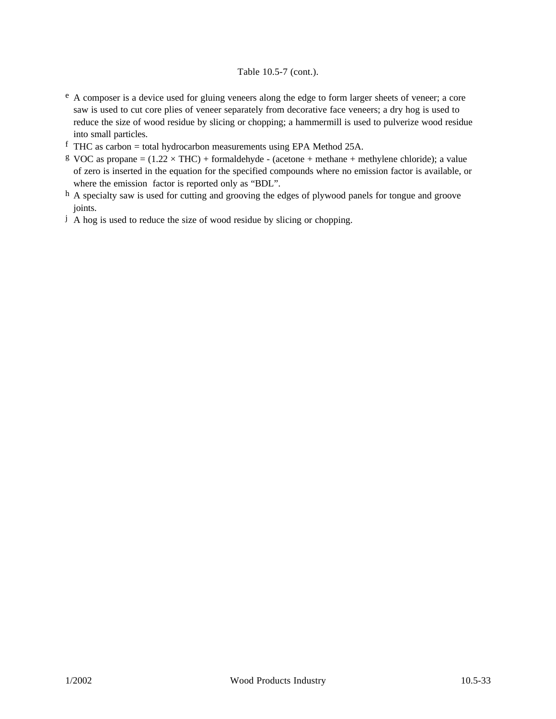#### Table 10.5-7 (cont.).

- e A composer is a device used for gluing veneers along the edge to form larger sheets of veneer; a core saw is used to cut core plies of veneer separately from decorative face veneers; a dry hog is used to reduce the size of wood residue by slicing or chopping; a hammermill is used to pulverize wood residue into small particles.
- f THC as carbon = total hydrocarbon measurements using EPA Method 25A.
- g VOC as propane =  $(1.22 \times THC)$  + formaldehyde (acetone + methane + methylene chloride); a value of zero is inserted in the equation for the specified compounds where no emission factor is available, or where the emission factor is reported only as "BDL".
- h A specialty saw is used for cutting and grooving the edges of plywood panels for tongue and groove joints.
- j A hog is used to reduce the size of wood residue by slicing or chopping.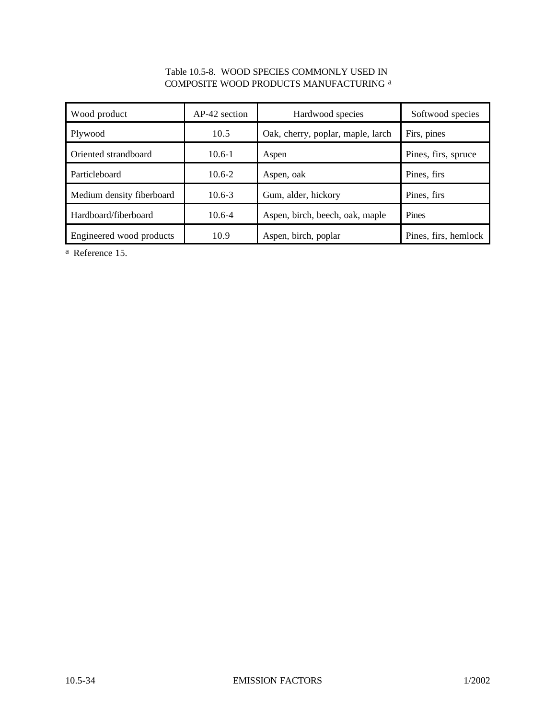### Table 10.5-8. WOOD SPECIES COMMONLY USED IN COMPOSITE WOOD PRODUCTS MANUFACTURING a

| Wood product              | AP-42 section | Hardwood species                  | Softwood species     |
|---------------------------|---------------|-----------------------------------|----------------------|
| Plywood                   | 10.5          | Oak, cherry, poplar, maple, larch | Firs, pines          |
| Oriented strandboard      | $10.6 - 1$    | Aspen                             | Pines, firs, spruce  |
| Particleboard             | $10.6 - 2$    | Aspen, oak                        | Pines, firs          |
| Medium density fiberboard | $10.6 - 3$    | Gum, alder, hickory               | Pines, firs          |
| Hardboard/fiberboard      | $10.6 - 4$    | Aspen, birch, beech, oak, maple   | Pines                |
| Engineered wood products  | 10.9          | Aspen, birch, poplar              | Pines, firs, hemlock |

a Reference 15.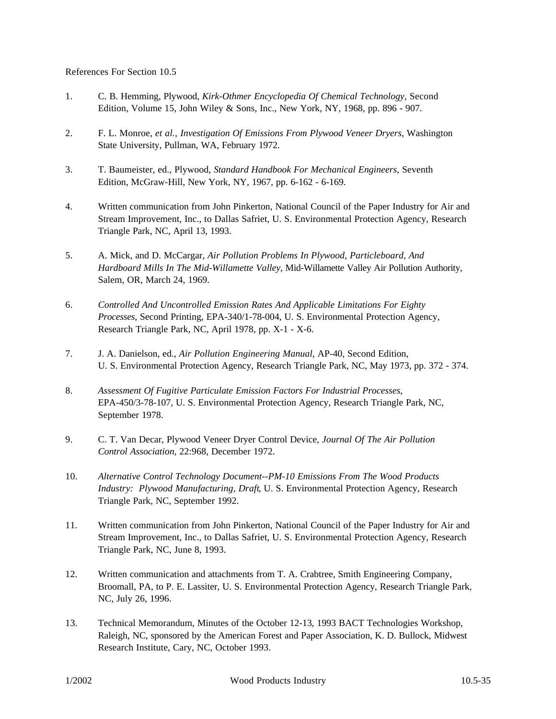References For Section 10.5

- 1. C. B. Hemming, Plywood, *Kirk-Othmer Encyclopedia Of Chemical Technology*, Second Edition, Volume 15, John Wiley & Sons, Inc., New York, NY, 1968, pp.  $896 - 907$ .
- 2. F. L. Monroe, *et al.*, *Investigation Of Emissions From Plywood Veneer Dryers*, Washington State University, Pullman, WA, February 1972.
- 3. T. Baumeister, ed., Plywood, *Standard Handbook For Mechanical Engineers*, Seventh Edition, McGraw-Hill, New York, NY, 1967, pp. 6-162 - 6-169.
- 4. Written communication from John Pinkerton, National Council of the Paper Industry for Air and Stream Improvement, Inc., to Dallas Safriet, U. S. Environmental Protection Agency, Research Triangle Park, NC, April 13, 1993.
- 5. A. Mick, and D. McCargar, *Air Pollution Problems In Plywood, Particleboard, And Hardboard Mills In The Mid-Willamette Valley*, Mid-Willamette Valley Air Pollution Authority, Salem, OR, March 24, 1969.
- 6. *Controlled And Uncontrolled Emission Rates And Applicable Limitations For Eighty Processes*, Second Printing, EPA-340/1-78-004, U. S. Environmental Protection Agency, Research Triangle Park, NC, April 1978, pp. X-1 - X-6.
- 7. J. A. Danielson, ed., *Air Pollution Engineering Manual*, AP-40, Second Edition, U. S. Environmental Protection Agency, Research Triangle Park, NC, May 1973, pp. 372 - 374.
- 8. *Assessment Of Fugitive Particulate Emission Factors For Industrial Processes*, EPA-450/3-78-107, U. S. Environmental Protection Agency, Research Triangle Park, NC, September 1978.
- 9. C. T. Van Decar, Plywood Veneer Dryer Control Device, *Journal Of The Air Pollution Control Association*, 22:968, December 1972.
- 10. *Alternative Control Technology Document--PM-10 Emissions From The Wood Products Industry: Plywood Manufacturing, Draft*, U. S. Environmental Protection Agency, Research Triangle Park, NC, September 1992.
- 11. Written communication from John Pinkerton, National Council of the Paper Industry for Air and Stream Improvement, Inc., to Dallas Safriet, U. S. Environmental Protection Agency, Research Triangle Park, NC, June 8, 1993.
- 12. Written communication and attachments from T. A. Crabtree, Smith Engineering Company, Broomall, PA, to P. E. Lassiter, U. S. Environmental Protection Agency, Research Triangle Park, NC, July 26, 1996.
- 13. Technical Memorandum, Minutes of the October 12-13, 1993 BACT Technologies Workshop, Raleigh, NC, sponsored by the American Forest and Paper Association, K. D. Bullock, Midwest Research Institute, Cary, NC, October 1993.